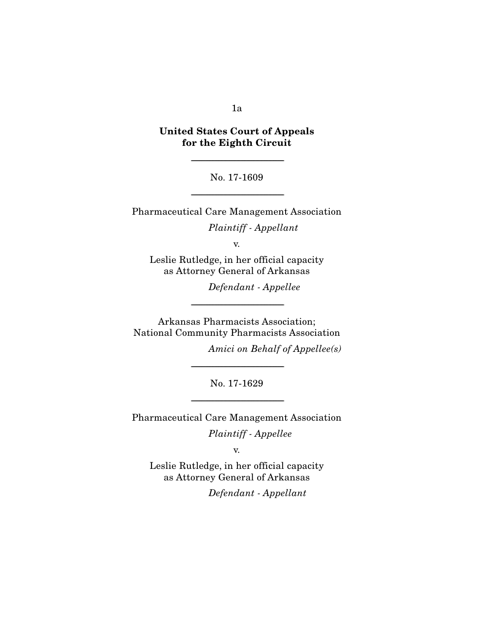#### 1a

# United States Court of Appeals for the Eighth Circuit

No. 17-1609

-----------------------------------------------------------------------

-----------------------------------------------------------------------

Pharmaceutical Care Management Association

*Plaintiff - Appellant* 

v.

Leslie Rutledge, in her official capacity as Attorney General of Arkansas

*Defendant - Appellee* 

Arkansas Pharmacists Association; National Community Pharmacists Association

-----------------------------------------------------------------------

*Amici on Behalf of Appellee(s)* 

No. 17-1629

-----------------------------------------------------------------------

-----------------------------------------------------------------------

Pharmaceutical Care Management Association

*Plaintiff - Appellee* 

v.

Leslie Rutledge, in her official capacity as Attorney General of Arkansas

*Defendant - Appellant*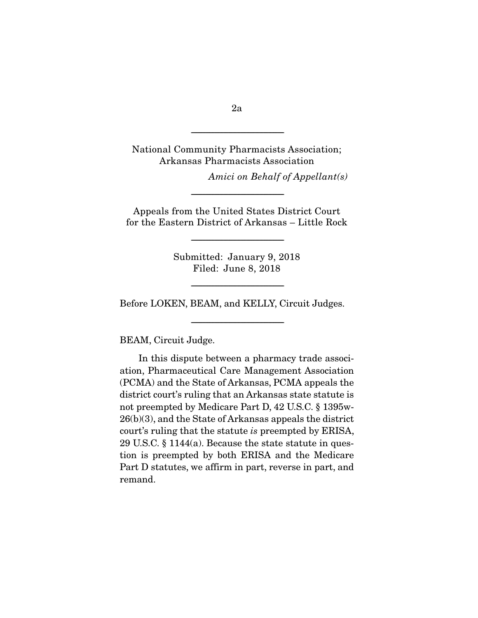National Community Pharmacists Association; Arkansas Pharmacists Association

*Amici on Behalf of Appellant(s)* 

Appeals from the United States District Court for the Eastern District of Arkansas – Little Rock

-----------------------------------------------------------------------

Submitted: January 9, 2018 Filed: June 8, 2018

-----------------------------------------------------------------------

-----------------------------------------------------------------------

-----------------------------------------------------------------------

Before LOKEN, BEAM, and KELLY, Circuit Judges.

BEAM, Circuit Judge.

 In this dispute between a pharmacy trade association, Pharmaceutical Care Management Association (PCMA) and the State of Arkansas, PCMA appeals the district court's ruling that an Arkansas state statute is not preempted by Medicare Part D, 42 U.S.C. § 1395w-26(b)(3), and the State of Arkansas appeals the district court's ruling that the statute *is* preempted by ERISA, 29 U.S.C. § 1144(a). Because the state statute in question is preempted by both ERISA and the Medicare Part D statutes, we affirm in part, reverse in part, and remand.

2a

-----------------------------------------------------------------------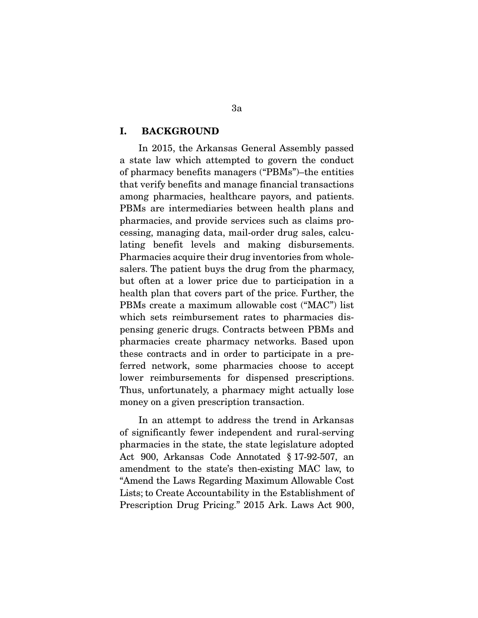#### I. BACKGROUND

In 2015, the Arkansas General Assembly passed a state law which attempted to govern the conduct of pharmacy benefits managers ("PBMs")–the entities that verify benefits and manage financial transactions among pharmacies, healthcare payors, and patients. PBMs are intermediaries between health plans and pharmacies, and provide services such as claims processing, managing data, mail-order drug sales, calculating benefit levels and making disbursements. Pharmacies acquire their drug inventories from wholesalers. The patient buys the drug from the pharmacy, but often at a lower price due to participation in a health plan that covers part of the price. Further, the PBMs create a maximum allowable cost ("MAC") list which sets reimbursement rates to pharmacies dispensing generic drugs. Contracts between PBMs and pharmacies create pharmacy networks. Based upon these contracts and in order to participate in a preferred network, some pharmacies choose to accept lower reimbursements for dispensed prescriptions. Thus, unfortunately, a pharmacy might actually lose money on a given prescription transaction.

 In an attempt to address the trend in Arkansas of significantly fewer independent and rural-serving pharmacies in the state, the state legislature adopted Act 900, Arkansas Code Annotated § 17-92-507, an amendment to the state's then-existing MAC law, to "Amend the Laws Regarding Maximum Allowable Cost Lists; to Create Accountability in the Establishment of Prescription Drug Pricing." 2015 Ark. Laws Act 900,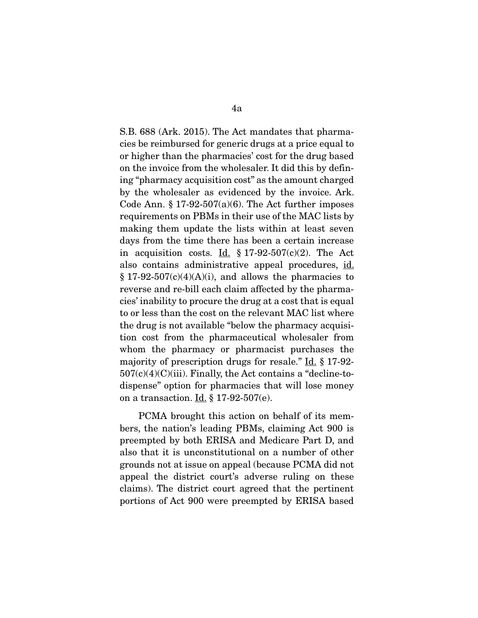S.B. 688 (Ark. 2015). The Act mandates that pharmacies be reimbursed for generic drugs at a price equal to or higher than the pharmacies' cost for the drug based on the invoice from the wholesaler. It did this by defining "pharmacy acquisition cost" as the amount charged by the wholesaler as evidenced by the invoice. Ark. Code Ann.  $\S 17-92-507(a)(6)$ . The Act further imposes requirements on PBMs in their use of the MAC lists by making them update the lists within at least seven days from the time there has been a certain increase in acquisition costs. Id.  $\S 17-92-507(c)(2)$ . The Act also contains administrative appeal procedures, id.  $§ 17-92-507(c)(4)(A)(i)$ , and allows the pharmacies to reverse and re-bill each claim affected by the pharmacies' inability to procure the drug at a cost that is equal to or less than the cost on the relevant MAC list where the drug is not available "below the pharmacy acquisition cost from the pharmaceutical wholesaler from whom the pharmacy or pharmacist purchases the majority of prescription drugs for resale." Id. § 17-92-  $507(c)(4)(C)(iii)$ . Finally, the Act contains a "decline-todispense" option for pharmacies that will lose money on a transaction.  $\underline{Id}$ , § 17-92-507(e).

 PCMA brought this action on behalf of its members, the nation's leading PBMs, claiming Act 900 is preempted by both ERISA and Medicare Part D, and also that it is unconstitutional on a number of other grounds not at issue on appeal (because PCMA did not appeal the district court's adverse ruling on these claims). The district court agreed that the pertinent portions of Act 900 were preempted by ERISA based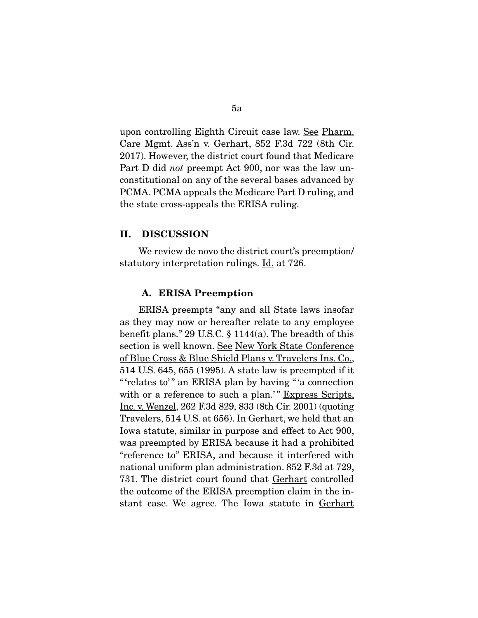upon controlling Eighth Circuit case law. See Pharm. Care Mgmt. Ass'n v. Gerhart, 852 F.3d 722 (8th Cir. 2017). However, the district court found that Medicare Part D did *not* preempt Act 900, nor was the law unconstitutional on any of the several bases advanced by PCMA. PCMA appeals the Medicare Part D ruling, and the state cross-appeals the ERISA ruling.

#### II. DISCUSSION

We review de novo the district court's preemption/ statutory interpretation rulings. Id. at 726.

#### A. ERISA Preemption

ERISA preempts "any and all State laws insofar as they may now or hereafter relate to any employee benefit plans." 29 U.S.C. § 1144(a). The breadth of this section is well known. See New York State Conference of Blue Cross & Blue Shield Plans v. Travelers Ins. Co., 514 U.S. 645, 655 (1995). A state law is preempted if it " 'relates to'" an ERISA plan by having "'a connection with or a reference to such a plan.'" Express Scripts, Inc. v. Wenzel, 262 F.3d 829, 833 (8th Cir. 2001) (quoting Travelers, 514 U.S. at 656). In Gerhart, we held that an Iowa statute, similar in purpose and effect to Act 900, was preempted by ERISA because it had a prohibited "reference to" ERISA, and because it interfered with national uniform plan administration. 852 F.3d at 729, 731. The district court found that Gerhart controlled the outcome of the ERISA preemption claim in the instant case. We agree. The Iowa statute in Gerhart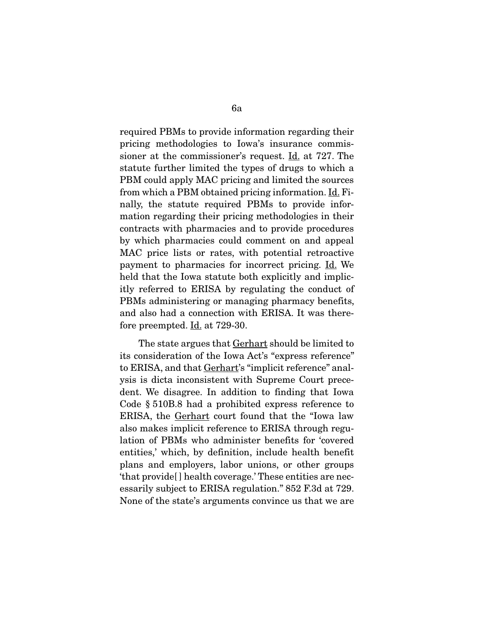required PBMs to provide information regarding their pricing methodologies to Iowa's insurance commissioner at the commissioner's request. Id. at 727. The statute further limited the types of drugs to which a PBM could apply MAC pricing and limited the sources from which a PBM obtained pricing information. Id. Finally, the statute required PBMs to provide information regarding their pricing methodologies in their contracts with pharmacies and to provide procedures by which pharmacies could comment on and appeal MAC price lists or rates, with potential retroactive payment to pharmacies for incorrect pricing. Id. We held that the Iowa statute both explicitly and implicitly referred to ERISA by regulating the conduct of PBMs administering or managing pharmacy benefits, and also had a connection with ERISA. It was therefore preempted. Id. at 729-30.

The state argues that **Gerhart** should be limited to its consideration of the Iowa Act's "express reference" to ERISA, and that Gerhart's "implicit reference" analysis is dicta inconsistent with Supreme Court precedent. We disagree. In addition to finding that Iowa Code § 510B.8 had a prohibited express reference to ERISA, the Gerhart court found that the "Iowa law also makes implicit reference to ERISA through regulation of PBMs who administer benefits for 'covered entities,' which, by definition, include health benefit plans and employers, labor unions, or other groups 'that provide[ ] health coverage.' These entities are necessarily subject to ERISA regulation." 852 F.3d at 729. None of the state's arguments convince us that we are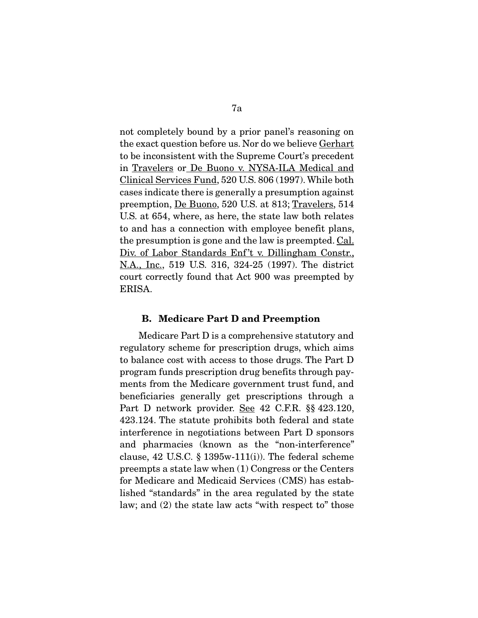not completely bound by a prior panel's reasoning on the exact question before us. Nor do we believe Gerhart to be inconsistent with the Supreme Court's precedent in Travelers or De Buono v. NYSA-ILA Medical and Clinical Services Fund, 520 U.S. 806 (1997). While both cases indicate there is generally a presumption against preemption, De Buono, 520 U.S. at 813; Travelers, 514 U.S. at 654, where, as here, the state law both relates to and has a connection with employee benefit plans, the presumption is gone and the law is preempted. Cal. Div. of Labor Standards Enf't v. Dillingham Constr., N.A., Inc., 519 U.S. 316, 324-25 (1997). The district court correctly found that Act 900 was preempted by ERISA.

#### B. Medicare Part D and Preemption

Medicare Part D is a comprehensive statutory and regulatory scheme for prescription drugs, which aims to balance cost with access to those drugs. The Part D program funds prescription drug benefits through payments from the Medicare government trust fund, and beneficiaries generally get prescriptions through a Part D network provider. See 42 C.F.R. §§ 423.120, 423.124. The statute prohibits both federal and state interference in negotiations between Part D sponsors and pharmacies (known as the "non-interference" clause,  $42 \text{ U.S.C. }$  §  $1395\text{w-}111\text{(i)}$ . The federal scheme preempts a state law when (1) Congress or the Centers for Medicare and Medicaid Services (CMS) has established "standards" in the area regulated by the state law; and (2) the state law acts "with respect to" those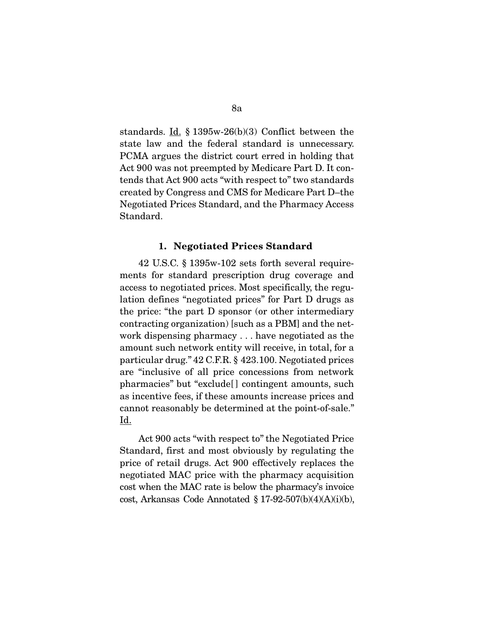standards. Id. § 1395w-26(b)(3) Conflict between the state law and the federal standard is unnecessary. PCMA argues the district court erred in holding that Act 900 was not preempted by Medicare Part D. It contends that Act 900 acts "with respect to" two standards created by Congress and CMS for Medicare Part D–the Negotiated Prices Standard, and the Pharmacy Access Standard.

#### 1. Negotiated Prices Standard

42 U.S.C. § 1395w-102 sets forth several requirements for standard prescription drug coverage and access to negotiated prices. Most specifically, the regulation defines "negotiated prices" for Part D drugs as the price: "the part D sponsor (or other intermediary contracting organization) [such as a PBM] and the network dispensing pharmacy . . . have negotiated as the amount such network entity will receive, in total, for a particular drug." 42 C.F.R. § 423.100. Negotiated prices are "inclusive of all price concessions from network pharmacies" but "exclude[ ] contingent amounts, such as incentive fees, if these amounts increase prices and cannot reasonably be determined at the point-of-sale." <u>Id.</u>

 Act 900 acts "with respect to" the Negotiated Price Standard, first and most obviously by regulating the price of retail drugs. Act 900 effectively replaces the negotiated MAC price with the pharmacy acquisition cost when the MAC rate is below the pharmacy's invoice cost, Arkansas Code Annotated § 17-92-507(b)(4)(A)(i)(b),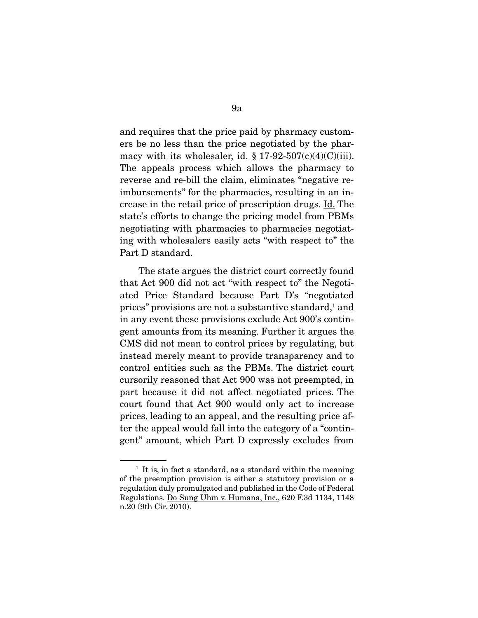and requires that the price paid by pharmacy customers be no less than the price negotiated by the pharmacy with its wholesaler, id.  $\S 17-92-507(c)(4)(C)(iii)$ . The appeals process which allows the pharmacy to reverse and re-bill the claim, eliminates "negative reimbursements" for the pharmacies, resulting in an increase in the retail price of prescription drugs. Id. The state's efforts to change the pricing model from PBMs negotiating with pharmacies to pharmacies negotiating with wholesalers easily acts "with respect to" the Part D standard.

 The state argues the district court correctly found that Act 900 did not act "with respect to" the Negotiated Price Standard because Part D's "negotiated prices" provisions are not a substantive standard,<sup>1</sup> and in any event these provisions exclude Act 900's contingent amounts from its meaning. Further it argues the CMS did not mean to control prices by regulating, but instead merely meant to provide transparency and to control entities such as the PBMs. The district court cursorily reasoned that Act 900 was not preempted, in part because it did not affect negotiated prices. The court found that Act 900 would only act to increase prices, leading to an appeal, and the resulting price after the appeal would fall into the category of a "contingent" amount, which Part D expressly excludes from

 $<sup>1</sup>$  It is, in fact a standard, as a standard within the meaning</sup> of the preemption provision is either a statutory provision or a regulation duly promulgated and published in the Code of Federal Regulations. Do Sung Uhm v. Humana, Inc., 620 F.3d 1134, 1148 n.20 (9th Cir. 2010).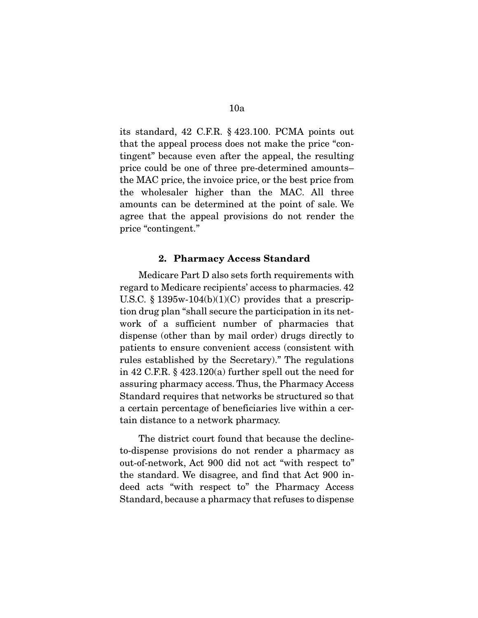its standard, 42 C.F.R. § 423.100. PCMA points out that the appeal process does not make the price "contingent" because even after the appeal, the resulting price could be one of three pre-determined amounts– the MAC price, the invoice price, or the best price from the wholesaler higher than the MAC. All three amounts can be determined at the point of sale. We agree that the appeal provisions do not render the price "contingent."

## 2. Pharmacy Access Standard

Medicare Part D also sets forth requirements with regard to Medicare recipients' access to pharmacies. 42 U.S.C. § 1395w-104 $(b)(1)(C)$  provides that a prescription drug plan "shall secure the participation in its network of a sufficient number of pharmacies that dispense (other than by mail order) drugs directly to patients to ensure convenient access (consistent with rules established by the Secretary)." The regulations in 42 C.F.R. § 423.120(a) further spell out the need for assuring pharmacy access. Thus, the Pharmacy Access Standard requires that networks be structured so that a certain percentage of beneficiaries live within a certain distance to a network pharmacy.

 The district court found that because the declineto-dispense provisions do not render a pharmacy as out-of-network, Act 900 did not act "with respect to" the standard. We disagree, and find that Act 900 indeed acts "with respect to" the Pharmacy Access Standard, because a pharmacy that refuses to dispense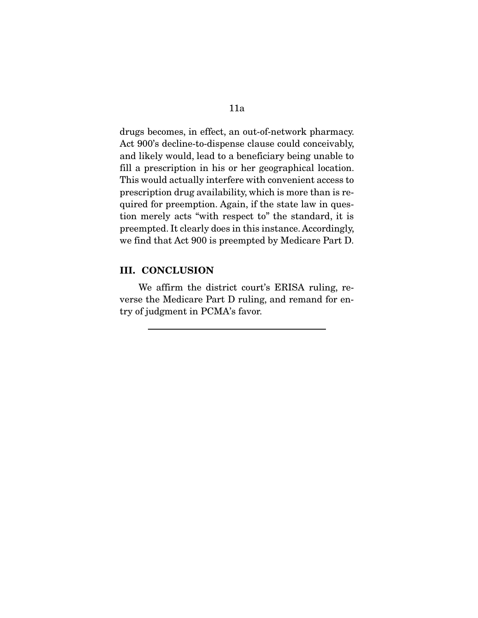drugs becomes, in effect, an out-of-network pharmacy. Act 900's decline-to-dispense clause could conceivably, and likely would, lead to a beneficiary being unable to fill a prescription in his or her geographical location. This would actually interfere with convenient access to prescription drug availability, which is more than is required for preemption. Again, if the state law in question merely acts "with respect to" the standard, it is preempted. It clearly does in this instance. Accordingly, we find that Act 900 is preempted by Medicare Part D.

## III. CONCLUSION

We affirm the district court's ERISA ruling, reverse the Medicare Part D ruling, and remand for entry of judgment in PCMA's favor.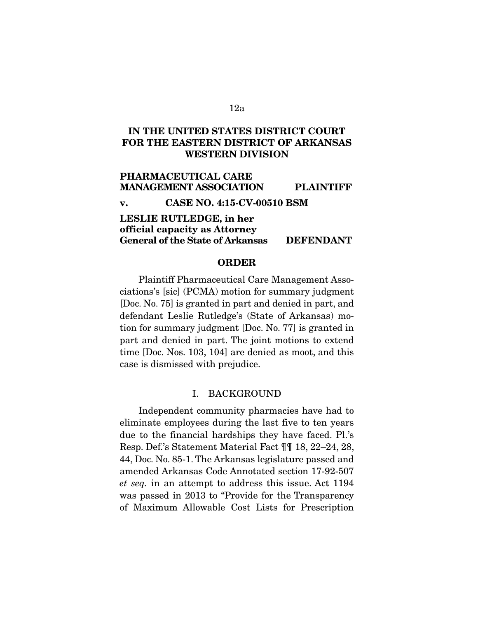# IN THE UNITED STATES DISTRICT COURT FOR THE EASTERN DISTRICT OF ARKANSAS WESTERN DIVISION

PHARMACEUTICAL CARE MANAGEMENT ASSOCIATION PLAINTIFF v. CASE NO. 4:15-CV-00510 BSM

## LESLIE RUTLEDGE, in her official capacity as Attorney General of the State of Arkansas DEFENDANT

## ORDER

 Plaintiff Pharmaceutical Care Management Associations's [sic] (PCMA) motion for summary judgment [Doc. No. 75] is granted in part and denied in part, and defendant Leslie Rutledge's (State of Arkansas) motion for summary judgment [Doc. No. 77] is granted in part and denied in part. The joint motions to extend time [Doc. Nos. 103, 104] are denied as moot, and this case is dismissed with prejudice.

#### I. BACKGROUND

Independent community pharmacies have had to eliminate employees during the last five to ten years due to the financial hardships they have faced. Pl.'s Resp. Def.'s Statement Material Fact ¶¶ 18, 22–24, 28, 44, Doc. No. 85-1. The Arkansas legislature passed and amended Arkansas Code Annotated section 17-92-507 *et seq.* in an attempt to address this issue. Act 1194 was passed in 2013 to "Provide for the Transparency of Maximum Allowable Cost Lists for Prescription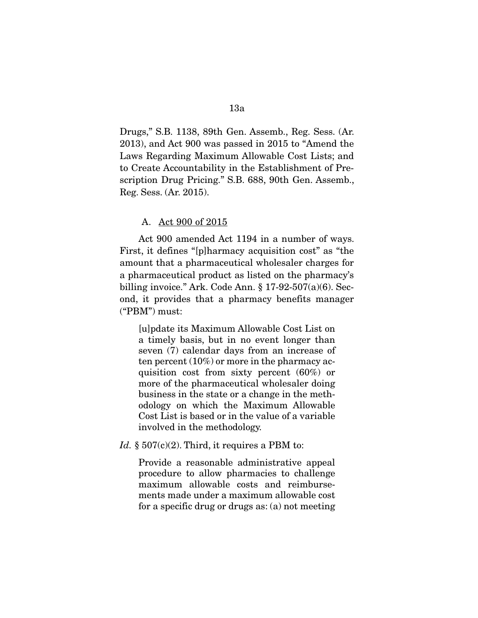Drugs," S.B. 1138, 89th Gen. Assemb., Reg. Sess. (Ar. 2013), and Act 900 was passed in 2015 to "Amend the Laws Regarding Maximum Allowable Cost Lists; and to Create Accountability in the Establishment of Prescription Drug Pricing." S.B. 688, 90th Gen. Assemb., Reg. Sess. (Ar. 2015).

## A. Act 900 of 2015

Act 900 amended Act 1194 in a number of ways. First, it defines "[p]harmacy acquisition cost" as "the amount that a pharmaceutical wholesaler charges for a pharmaceutical product as listed on the pharmacy's billing invoice." Ark. Code Ann. § 17-92-507(a)(6). Second, it provides that a pharmacy benefits manager ("PBM") must:

[u]pdate its Maximum Allowable Cost List on a timely basis, but in no event longer than seven (7) calendar days from an increase of ten percent (10%) or more in the pharmacy acquisition cost from sixty percent (60%) or more of the pharmaceutical wholesaler doing business in the state or a change in the methodology on which the Maximum Allowable Cost List is based or in the value of a variable involved in the methodology.

*Id.*  $\S 507(c)(2)$ . Third, it requires a PBM to:

Provide a reasonable administrative appeal procedure to allow pharmacies to challenge maximum allowable costs and reimbursements made under a maximum allowable cost for a specific drug or drugs as: (a) not meeting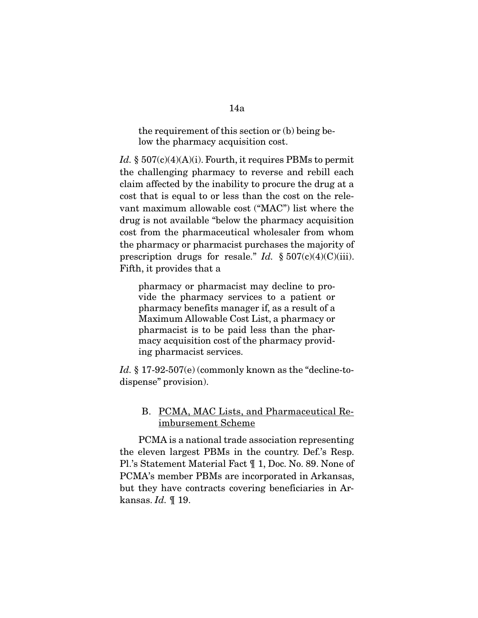## the requirement of this section or (b) being below the pharmacy acquisition cost.

*Id.* §  $507(c)(4)(A)(i)$ . Fourth, it requires PBMs to permit the challenging pharmacy to reverse and rebill each claim affected by the inability to procure the drug at a cost that is equal to or less than the cost on the relevant maximum allowable cost ("MAC") list where the drug is not available "below the pharmacy acquisition cost from the pharmaceutical wholesaler from whom the pharmacy or pharmacist purchases the majority of prescription drugs for resale." *Id.* § 507(c)(4)(C)(iii). Fifth, it provides that a

pharmacy or pharmacist may decline to provide the pharmacy services to a patient or pharmacy benefits manager if, as a result of a Maximum Allowable Cost List, a pharmacy or pharmacist is to be paid less than the pharmacy acquisition cost of the pharmacy providing pharmacist services.

Id. § 17-92-507(e) (commonly known as the "decline-todispense" provision).

# B. PCMA, MAC Lists, and Pharmaceutical Reimbursement Scheme

PCMA is a national trade association representing the eleven largest PBMs in the country. Def.'s Resp. Pl.'s Statement Material Fact ¶ 1, Doc. No. 89. None of PCMA's member PBMs are incorporated in Arkansas, but they have contracts covering beneficiaries in Arkansas. *Id.* ¶ 19.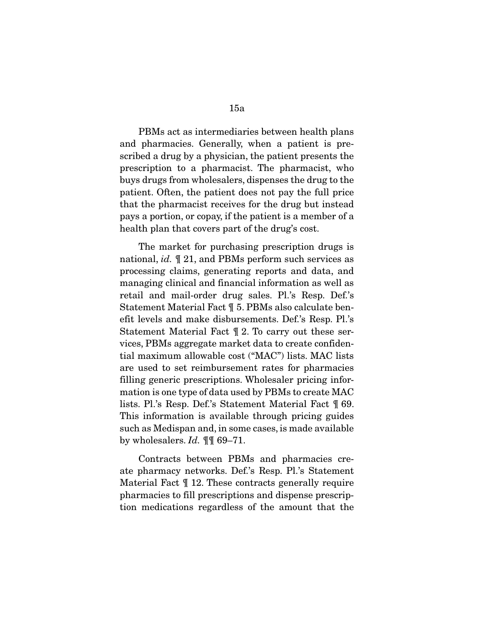PBMs act as intermediaries between health plans and pharmacies. Generally, when a patient is prescribed a drug by a physician, the patient presents the prescription to a pharmacist. The pharmacist, who buys drugs from wholesalers, dispenses the drug to the patient. Often, the patient does not pay the full price that the pharmacist receives for the drug but instead pays a portion, or copay, if the patient is a member of a health plan that covers part of the drug's cost.

 The market for purchasing prescription drugs is national, *id.* ¶ 21, and PBMs perform such services as processing claims, generating reports and data, and managing clinical and financial information as well as retail and mail-order drug sales. Pl.'s Resp. Def.'s Statement Material Fact ¶ 5. PBMs also calculate benefit levels and make disbursements. Def.'s Resp. Pl.'s Statement Material Fact ¶ 2. To carry out these services, PBMs aggregate market data to create confidential maximum allowable cost ("MAC") lists. MAC lists are used to set reimbursement rates for pharmacies filling generic prescriptions. Wholesaler pricing information is one type of data used by PBMs to create MAC lists. Pl.'s Resp. Def.'s Statement Material Fact ¶ 69. This information is available through pricing guides such as Medispan and, in some cases, is made available by wholesalers. *Id.* ¶¶ 69–71.

 Contracts between PBMs and pharmacies create pharmacy networks. Def.'s Resp. Pl.'s Statement Material Fact ¶ 12. These contracts generally require pharmacies to fill prescriptions and dispense prescription medications regardless of the amount that the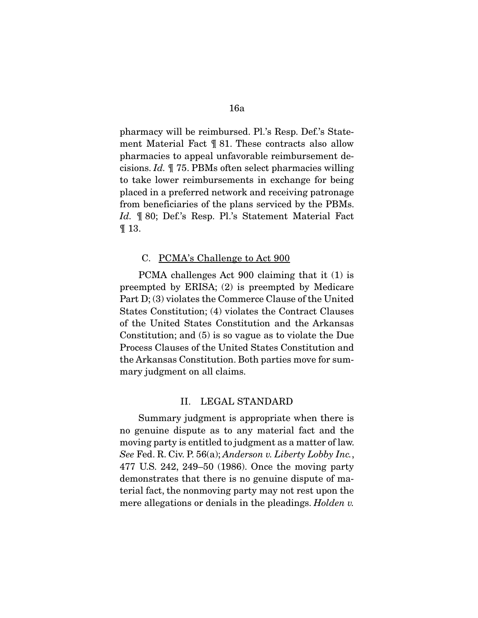pharmacy will be reimbursed. Pl.'s Resp. Def.'s Statement Material Fact ¶ 81. These contracts also allow pharmacies to appeal unfavorable reimbursement decisions. *Id.* ¶ 75. PBMs often select pharmacies willing to take lower reimbursements in exchange for being placed in a preferred network and receiving patronage from beneficiaries of the plans serviced by the PBMs. *Id.* ¶ 80; Def.'s Resp. Pl.'s Statement Material Fact ¶ 13.

## C. PCMA's Challenge to Act 900

PCMA challenges Act 900 claiming that it (1) is preempted by ERISA; (2) is preempted by Medicare Part D; (3) violates the Commerce Clause of the United States Constitution; (4) violates the Contract Clauses of the United States Constitution and the Arkansas Constitution; and (5) is so vague as to violate the Due Process Clauses of the United States Constitution and the Arkansas Constitution. Both parties move for summary judgment on all claims.

#### II. LEGAL STANDARD

Summary judgment is appropriate when there is no genuine dispute as to any material fact and the moving party is entitled to judgment as a matter of law. *See* Fed. R. Civ. P. 56(a); *Anderson v. Liberty Lobby Inc.*, 477 U.S. 242, 249–50 (1986). Once the moving party demonstrates that there is no genuine dispute of material fact, the nonmoving party may not rest upon the mere allegations or denials in the pleadings. *Holden v.*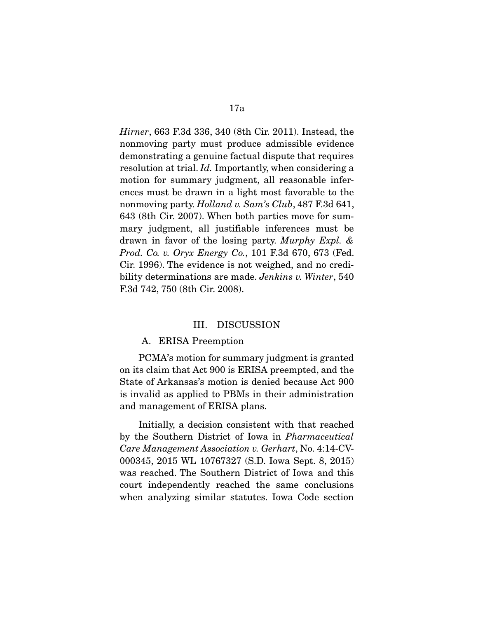*Hirner*, 663 F.3d 336, 340 (8th Cir. 2011). Instead, the nonmoving party must produce admissible evidence demonstrating a genuine factual dispute that requires resolution at trial. *Id.* Importantly, when considering a motion for summary judgment, all reasonable inferences must be drawn in a light most favorable to the nonmoving party. *Holland v. Sam's Club*, 487 F.3d 641, 643 (8th Cir. 2007). When both parties move for summary judgment, all justifiable inferences must be drawn in favor of the losing party. *Murphy Expl. & Prod. Co. v. Oryx Energy Co.*, 101 F.3d 670, 673 (Fed. Cir. 1996). The evidence is not weighed, and no credibility determinations are made. *Jenkins v. Winter*, 540 F.3d 742, 750 (8th Cir. 2008).

#### III. DISCUSSION

#### A. ERISA Preemption

PCMA's motion for summary judgment is granted on its claim that Act 900 is ERISA preempted, and the State of Arkansas's motion is denied because Act 900 is invalid as applied to PBMs in their administration and management of ERISA plans.

 Initially, a decision consistent with that reached by the Southern District of Iowa in *Pharmaceutical Care Management Association v. Gerhart*, No. 4:14-CV-000345, 2015 WL 10767327 (S.D. Iowa Sept. 8, 2015) was reached. The Southern District of Iowa and this court independently reached the same conclusions when analyzing similar statutes. Iowa Code section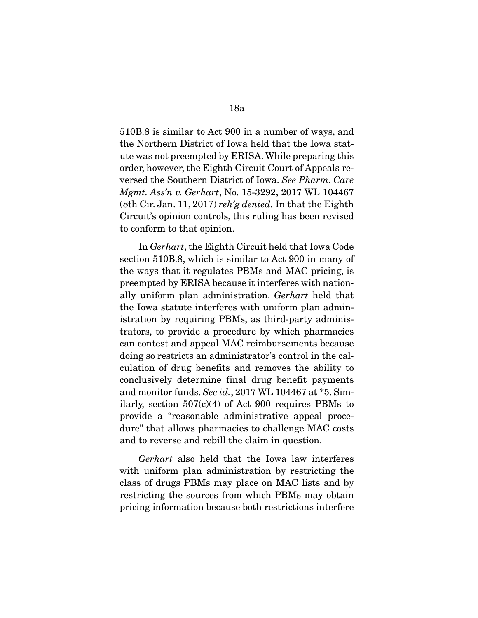510B.8 is similar to Act 900 in a number of ways, and the Northern District of Iowa held that the Iowa statute was not preempted by ERISA. While preparing this order, however, the Eighth Circuit Court of Appeals reversed the Southern District of Iowa. *See Pharm. Care Mgmt. Ass'n v. Gerhart*, No. 15-3292, 2017 WL 104467 (8th Cir. Jan. 11, 2017) *reh'g denied.* In that the Eighth Circuit's opinion controls, this ruling has been revised to conform to that opinion.

 In *Gerhart*, the Eighth Circuit held that Iowa Code section 510B.8, which is similar to Act 900 in many of the ways that it regulates PBMs and MAC pricing, is preempted by ERISA because it interferes with nationally uniform plan administration. *Gerhart* held that the Iowa statute interferes with uniform plan administration by requiring PBMs, as third-party administrators, to provide a procedure by which pharmacies can contest and appeal MAC reimbursements because doing so restricts an administrator's control in the calculation of drug benefits and removes the ability to conclusively determine final drug benefit payments and monitor funds. *See id.*, 2017 WL 104467 at \*5. Similarly, section  $507(c)(4)$  of Act 900 requires PBMs to provide a "reasonable administrative appeal procedure" that allows pharmacies to challenge MAC costs and to reverse and rebill the claim in question.

*Gerhart* also held that the Iowa law interferes with uniform plan administration by restricting the class of drugs PBMs may place on MAC lists and by restricting the sources from which PBMs may obtain pricing information because both restrictions interfere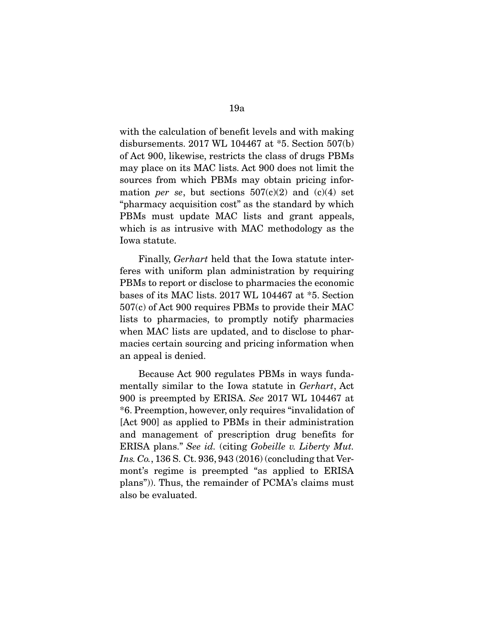with the calculation of benefit levels and with making disbursements. 2017 WL 104467 at \*5. Section 507(b) of Act 900, likewise, restricts the class of drugs PBMs may place on its MAC lists. Act 900 does not limit the sources from which PBMs may obtain pricing information *per se*, but sections  $507(c)(2)$  and  $(c)(4)$  set "pharmacy acquisition cost" as the standard by which PBMs must update MAC lists and grant appeals, which is as intrusive with MAC methodology as the Iowa statute.

 Finally, *Gerhart* held that the Iowa statute interferes with uniform plan administration by requiring PBMs to report or disclose to pharmacies the economic bases of its MAC lists. 2017 WL 104467 at \*5. Section 507(c) of Act 900 requires PBMs to provide their MAC lists to pharmacies, to promptly notify pharmacies when MAC lists are updated, and to disclose to pharmacies certain sourcing and pricing information when an appeal is denied.

 Because Act 900 regulates PBMs in ways fundamentally similar to the Iowa statute in *Gerhart*, Act 900 is preempted by ERISA. *See* 2017 WL 104467 at \*6. Preemption, however, only requires "invalidation of [Act 900] as applied to PBMs in their administration and management of prescription drug benefits for ERISA plans." *See id.* (citing *Gobeille v. Liberty Mut. Ins. Co.*, 136 S. Ct. 936, 943 (2016) (concluding that Vermont's regime is preempted "as applied to ERISA plans")). Thus, the remainder of PCMA's claims must also be evaluated.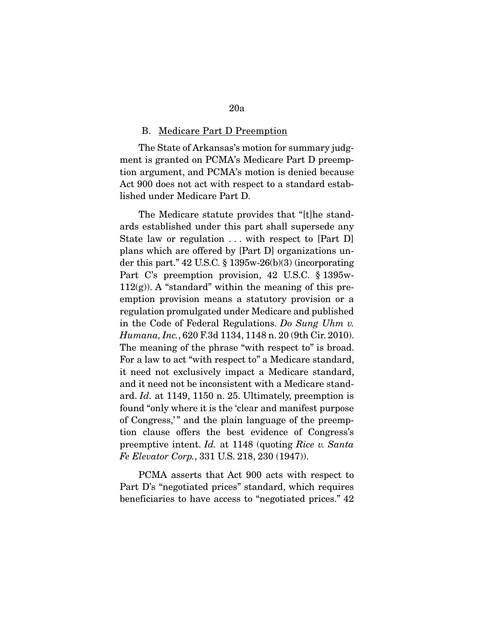#### B. Medicare Part D Preemption

The State of Arkansas's motion for summary judgment is granted on PCMA's Medicare Part D preemption argument, and PCMA's motion is denied because Act 900 does not act with respect to a standard established under Medicare Part D.

 The Medicare statute provides that "[t]he standards established under this part shall supersede any State law or regulation  $\dots$  with respect to [Part D] plans which are offered by [Part D] organizations under this part." 42 U.S.C. § 1395w-26(b)(3) (incorporating Part C's preemption provision, 42 U.S.C. § 1395w- $112(g)$ ). A "standard" within the meaning of this preemption provision means a statutory provision or a regulation promulgated under Medicare and published in the Code of Federal Regulations. *Do Sung Uhm v. Humana, Inc.*, 620 F.3d 1134, 1148 n. 20 (9th Cir. 2010). The meaning of the phrase "with respect to" is broad. For a law to act "with respect to" a Medicare standard, it need not exclusively impact a Medicare standard, and it need not be inconsistent with a Medicare standard. *Id.* at 1149, 1150 n. 25. Ultimately, preemption is found "only where it is the 'clear and manifest purpose of Congress," and the plain language of the preemption clause offers the best evidence of Congress's preemptive intent. *Id.* at 1148 (quoting *Rice v. Santa Fe Elevator Corp.*, 331 U.S. 218, 230 (1947)).

 PCMA asserts that Act 900 acts with respect to Part D's "negotiated prices" standard, which requires beneficiaries to have access to "negotiated prices." 42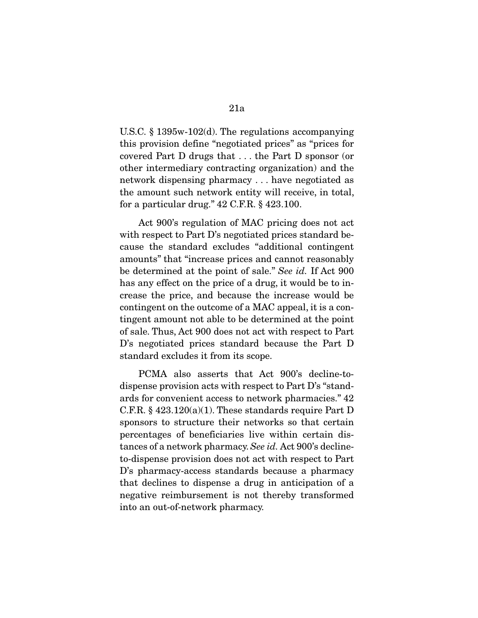U.S.C. § 1395w-102(d). The regulations accompanying this provision define "negotiated prices" as "prices for covered Part D drugs that . . . the Part D sponsor (or other intermediary contracting organization) and the network dispensing pharmacy . . . have negotiated as the amount such network entity will receive, in total, for a particular drug." 42 C.F.R. § 423.100.

 Act 900's regulation of MAC pricing does not act with respect to Part D's negotiated prices standard because the standard excludes "additional contingent amounts" that "increase prices and cannot reasonably be determined at the point of sale." *See id.* If Act 900 has any effect on the price of a drug, it would be to increase the price, and because the increase would be contingent on the outcome of a MAC appeal, it is a contingent amount not able to be determined at the point of sale. Thus, Act 900 does not act with respect to Part D's negotiated prices standard because the Part D standard excludes it from its scope.

 PCMA also asserts that Act 900's decline-todispense provision acts with respect to Part D's "standards for convenient access to network pharmacies." 42 C.F.R.  $§$  423.120(a)(1). These standards require Part D sponsors to structure their networks so that certain percentages of beneficiaries live within certain distances of a network pharmacy. *See id.* Act 900's declineto-dispense provision does not act with respect to Part D's pharmacy-access standards because a pharmacy that declines to dispense a drug in anticipation of a negative reimbursement is not thereby transformed into an out-of-network pharmacy.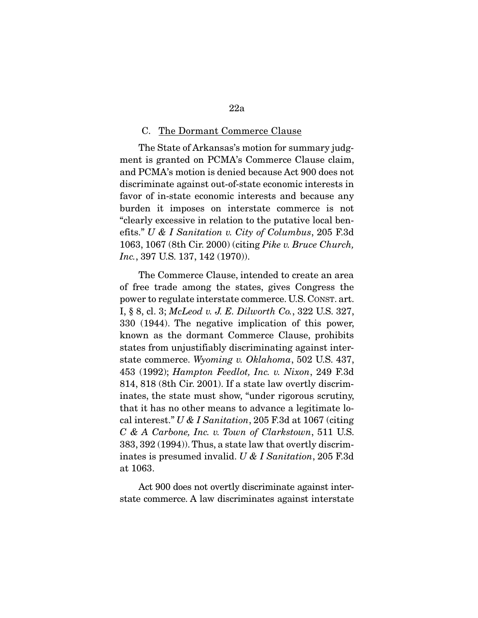#### C. The Dormant Commerce Clause

The State of Arkansas's motion for summary judgment is granted on PCMA's Commerce Clause claim, and PCMA's motion is denied because Act 900 does not discriminate against out-of-state economic interests in favor of in-state economic interests and because any burden it imposes on interstate commerce is not "clearly excessive in relation to the putative local benefits." *U & I Sanitation v. City of Columbus*, 205 F.3d 1063, 1067 (8th Cir. 2000) (citing *Pike v. Bruce Church, Inc.*, 397 U.S. 137, 142 (1970)).

 The Commerce Clause, intended to create an area of free trade among the states, gives Congress the power to regulate interstate commerce. U.S. CONST. art. I, § 8, cl. 3; *McLeod v. J. E. Dilworth Co.*, 322 U.S. 327, 330 (1944). The negative implication of this power, known as the dormant Commerce Clause, prohibits states from unjustifiably discriminating against interstate commerce. *Wyoming v. Oklahoma*, 502 U.S. 437, 453 (1992); *Hampton Feedlot, Inc. v. Nixon*, 249 F.3d 814, 818 (8th Cir. 2001). If a state law overtly discriminates, the state must show, "under rigorous scrutiny, that it has no other means to advance a legitimate local interest." *U & I Sanitation*, 205 F.3d at 1067 (citing *C & A Carbone, Inc. v. Town of Clarkstown*, 511 U.S. 383, 392 (1994)). Thus, a state law that overtly discriminates is presumed invalid. *U & I Sanitation*, 205 F.3d at 1063.

 Act 900 does not overtly discriminate against interstate commerce. A law discriminates against interstate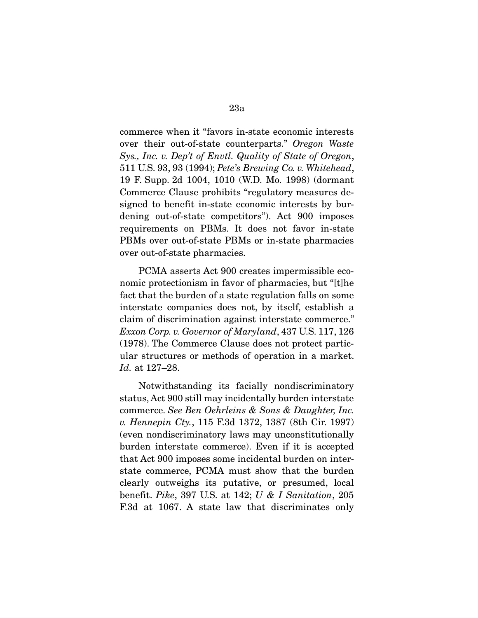commerce when it "favors in-state economic interests over their out-of-state counterparts." *Oregon Waste Sys., Inc. v. Dep't of Envtl. Quality of State of Oregon*, 511 U.S. 93, 93 (1994); *Pete's Brewing Co. v. Whitehead*, 19 F. Supp. 2d 1004, 1010 (W.D. Mo. 1998) (dormant Commerce Clause prohibits "regulatory measures designed to benefit in-state economic interests by burdening out-of-state competitors"). Act 900 imposes requirements on PBMs. It does not favor in-state PBMs over out-of-state PBMs or in-state pharmacies over out-of-state pharmacies.

 PCMA asserts Act 900 creates impermissible economic protectionism in favor of pharmacies, but "[t]he fact that the burden of a state regulation falls on some interstate companies does not, by itself, establish a claim of discrimination against interstate commerce." *Exxon Corp. v. Governor of Maryland*, 437 U.S. 117, 126 (1978). The Commerce Clause does not protect particular structures or methods of operation in a market. *Id.* at 127–28.

 Notwithstanding its facially nondiscriminatory status, Act 900 still may incidentally burden interstate commerce. *See Ben Oehrleins & Sons & Daughter, Inc. v. Hennepin Cty.*, 115 F.3d 1372, 1387 (8th Cir. 1997) (even nondiscriminatory laws may unconstitutionally burden interstate commerce). Even if it is accepted that Act 900 imposes some incidental burden on interstate commerce, PCMA must show that the burden clearly outweighs its putative, or presumed, local benefit. *Pike*, 397 U.S. at 142; *U & I Sanitation*, 205 F.3d at 1067. A state law that discriminates only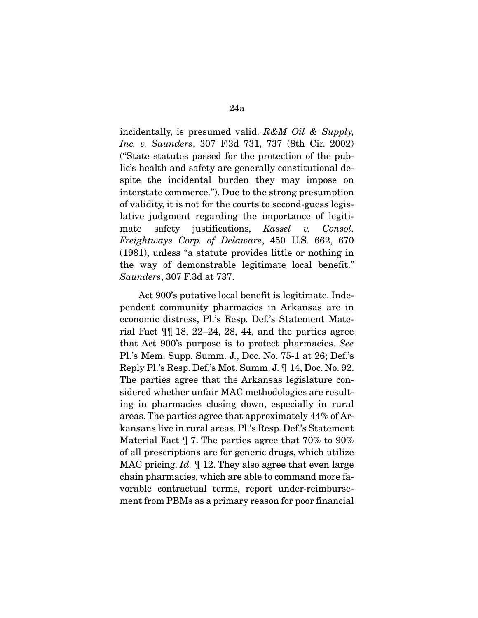incidentally, is presumed valid. *R&M Oil & Supply, Inc. v. Saunders*, 307 F.3d 731, 737 (8th Cir. 2002) ("State statutes passed for the protection of the public's health and safety are generally constitutional despite the incidental burden they may impose on interstate commerce."). Due to the strong presumption of validity, it is not for the courts to second-guess legislative judgment regarding the importance of legitimate safety justifications, *Kassel v. Consol. Freightways Corp. of Delaware*, 450 U.S. 662, 670 (1981), unless "a statute provides little or nothing in the way of demonstrable legitimate local benefit." *Saunders*, 307 F.3d at 737.

 Act 900's putative local benefit is legitimate. Independent community pharmacies in Arkansas are in economic distress, Pl.'s Resp. Def.'s Statement Material Fact  $\P$  18, 22–24, 28, 44, and the parties agree that Act 900's purpose is to protect pharmacies. *See* Pl.'s Mem. Supp. Summ. J., Doc. No. 75-1 at 26; Def.'s Reply Pl.'s Resp. Def.'s Mot. Summ. J. ¶ 14, Doc. No. 92. The parties agree that the Arkansas legislature considered whether unfair MAC methodologies are resulting in pharmacies closing down, especially in rural areas. The parties agree that approximately 44% of Arkansans live in rural areas. Pl.'s Resp. Def.'s Statement Material Fact ¶ 7. The parties agree that 70% to 90% of all prescriptions are for generic drugs, which utilize MAC pricing. *Id.* ¶ 12. They also agree that even large chain pharmacies, which are able to command more favorable contractual terms, report under-reimbursement from PBMs as a primary reason for poor financial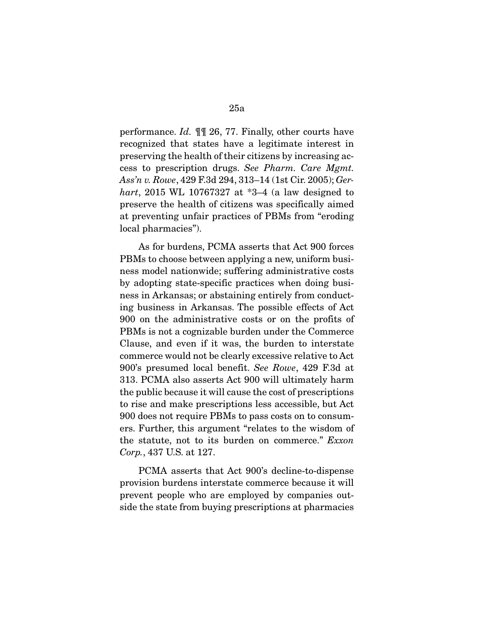performance. *Id.* ¶¶ 26, 77. Finally, other courts have recognized that states have a legitimate interest in preserving the health of their citizens by increasing access to prescription drugs. *See Pharm. Care Mgmt. Ass'n v. Rowe*, 429 F.3d 294, 313–14 (1st Cir. 2005); *Gerhart*, 2015 WL 10767327 at \*3–4 (a law designed to preserve the health of citizens was specifically aimed at preventing unfair practices of PBMs from "eroding local pharmacies").

 As for burdens, PCMA asserts that Act 900 forces PBMs to choose between applying a new, uniform business model nationwide; suffering administrative costs by adopting state-specific practices when doing business in Arkansas; or abstaining entirely from conducting business in Arkansas. The possible effects of Act 900 on the administrative costs or on the profits of PBMs is not a cognizable burden under the Commerce Clause, and even if it was, the burden to interstate commerce would not be clearly excessive relative to Act 900's presumed local benefit. *See Rowe*, 429 F.3d at 313. PCMA also asserts Act 900 will ultimately harm the public because it will cause the cost of prescriptions to rise and make prescriptions less accessible, but Act 900 does not require PBMs to pass costs on to consumers. Further, this argument "relates to the wisdom of the statute, not to its burden on commerce." *Exxon Corp.*, 437 U.S. at 127.

 PCMA asserts that Act 900's decline-to-dispense provision burdens interstate commerce because it will prevent people who are employed by companies outside the state from buying prescriptions at pharmacies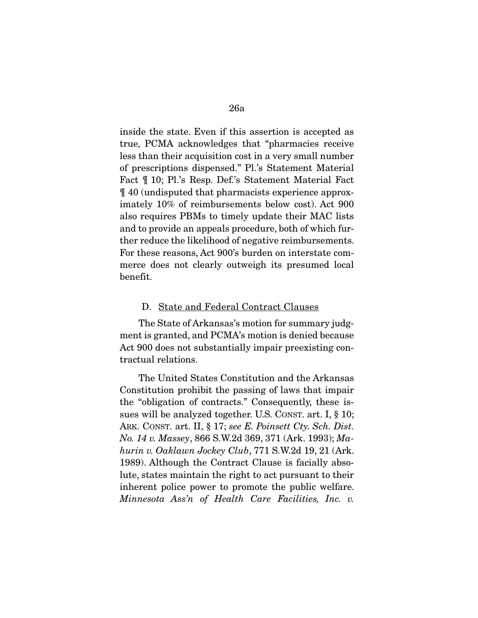inside the state. Even if this assertion is accepted as true, PCMA acknowledges that "pharmacies receive less than their acquisition cost in a very small number of prescriptions dispensed." Pl.'s Statement Material Fact ¶ 10; Pl.'s Resp. Def.'s Statement Material Fact ¶ 40 (undisputed that pharmacists experience approximately 10% of reimbursements below cost). Act 900 also requires PBMs to timely update their MAC lists and to provide an appeals procedure, both of which further reduce the likelihood of negative reimbursements. For these reasons, Act 900's burden on interstate commerce does not clearly outweigh its presumed local benefit.

#### D. State and Federal Contract Clauses

The State of Arkansas's motion for summary judgment is granted, and PCMA's motion is denied because Act 900 does not substantially impair preexisting contractual relations.

 The United States Constitution and the Arkansas Constitution prohibit the passing of laws that impair the "obligation of contracts." Consequently, these issues will be analyzed together. U.S. CONST. art. I, § 10; ARK. CONST. art. II, § 17; *see E. Poinsett Cty. Sch. Dist. No. 14 v. Massey*, 866 S.W.2d 369, 371 (Ark. 1993); *Mahurin v. Oaklawn Jockey Club*, 771 S.W.2d 19, 21 (Ark. 1989). Although the Contract Clause is facially absolute, states maintain the right to act pursuant to their inherent police power to promote the public welfare. *Minnesota Ass'n of Health Care Facilities, Inc. v.*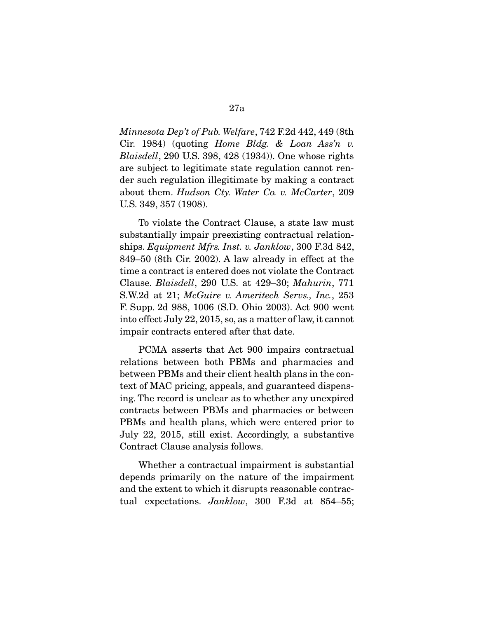*Minnesota Dep't of Pub. Welfare*, 742 F.2d 442, 449 (8th Cir. 1984) (quoting *Home Bldg. & Loan Ass'n v. Blaisdell*, 290 U.S. 398, 428 (1934)). One whose rights are subject to legitimate state regulation cannot render such regulation illegitimate by making a contract about them. *Hudson Cty. Water Co. v. McCarter*, 209 U.S. 349, 357 (1908).

 To violate the Contract Clause, a state law must substantially impair preexisting contractual relationships. *Equipment Mfrs. Inst. v. Janklow*, 300 F.3d 842, 849–50 (8th Cir. 2002). A law already in effect at the time a contract is entered does not violate the Contract Clause. *Blaisdell*, 290 U.S. at 429–30; *Mahurin*, 771 S.W.2d at 21; *McGuire v. Ameritech Servs., Inc.*, 253 F. Supp. 2d 988, 1006 (S.D. Ohio 2003). Act 900 went into effect July 22, 2015, so, as a matter of law, it cannot impair contracts entered after that date.

 PCMA asserts that Act 900 impairs contractual relations between both PBMs and pharmacies and between PBMs and their client health plans in the context of MAC pricing, appeals, and guaranteed dispensing. The record is unclear as to whether any unexpired contracts between PBMs and pharmacies or between PBMs and health plans, which were entered prior to July 22, 2015, still exist. Accordingly, a substantive Contract Clause analysis follows.

 Whether a contractual impairment is substantial depends primarily on the nature of the impairment and the extent to which it disrupts reasonable contractual expectations. *Janklow*, 300 F.3d at 854–55;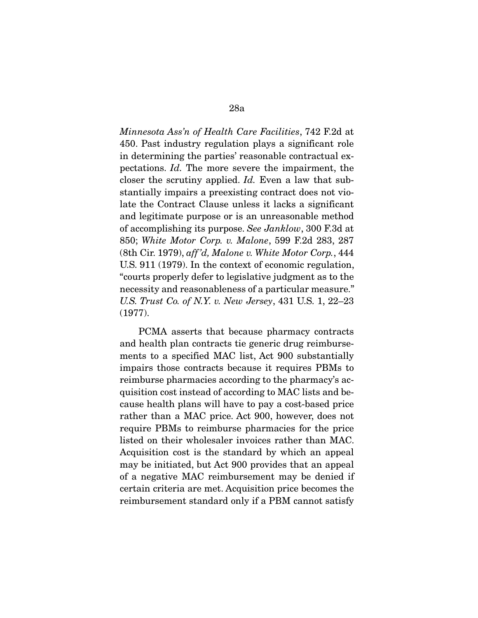*Minnesota Ass'n of Health Care Facilities*, 742 F.2d at 450. Past industry regulation plays a significant role in determining the parties' reasonable contractual expectations. *Id.* The more severe the impairment, the closer the scrutiny applied. *Id.* Even a law that substantially impairs a preexisting contract does not violate the Contract Clause unless it lacks a significant and legitimate purpose or is an unreasonable method of accomplishing its purpose. *See Janklow*, 300 F.3d at 850; *White Motor Corp. v. Malone*, 599 F.2d 283, 287 (8th Cir. 1979), *aff 'd, Malone v. White Motor Corp.*, 444 U.S. 911 (1979). In the context of economic regulation, "courts properly defer to legislative judgment as to the necessity and reasonableness of a particular measure." *U.S. Trust Co. of N.Y. v. New Jersey*, 431 U.S. 1, 22–23 (1977).

 PCMA asserts that because pharmacy contracts and health plan contracts tie generic drug reimbursements to a specified MAC list, Act 900 substantially impairs those contracts because it requires PBMs to reimburse pharmacies according to the pharmacy's acquisition cost instead of according to MAC lists and because health plans will have to pay a cost-based price rather than a MAC price. Act 900, however, does not require PBMs to reimburse pharmacies for the price listed on their wholesaler invoices rather than MAC. Acquisition cost is the standard by which an appeal may be initiated, but Act 900 provides that an appeal of a negative MAC reimbursement may be denied if certain criteria are met. Acquisition price becomes the reimbursement standard only if a PBM cannot satisfy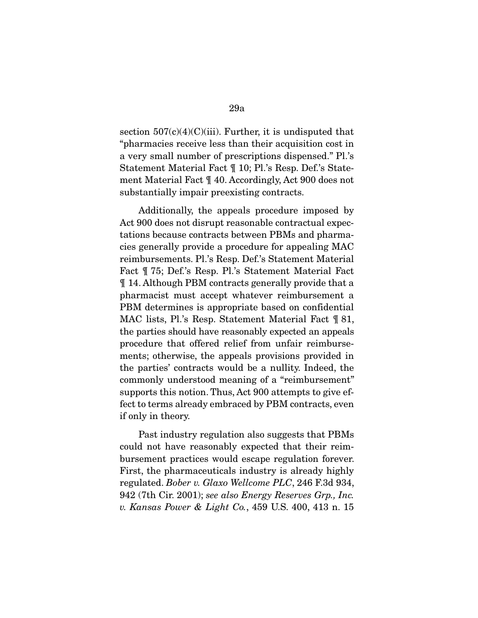section  $507(c)(4)(C)(iii)$ . Further, it is undisputed that "pharmacies receive less than their acquisition cost in a very small number of prescriptions dispensed." Pl.'s Statement Material Fact ¶ 10; Pl.'s Resp. Def.'s Statement Material Fact ¶ 40. Accordingly, Act 900 does not substantially impair preexisting contracts.

 Additionally, the appeals procedure imposed by Act 900 does not disrupt reasonable contractual expectations because contracts between PBMs and pharmacies generally provide a procedure for appealing MAC reimbursements. Pl.'s Resp. Def.'s Statement Material Fact ¶ 75; Def.'s Resp. Pl.'s Statement Material Fact ¶ 14. Although PBM contracts generally provide that a pharmacist must accept whatever reimbursement a PBM determines is appropriate based on confidential MAC lists, Pl.'s Resp. Statement Material Fact ¶ 81, the parties should have reasonably expected an appeals procedure that offered relief from unfair reimbursements; otherwise, the appeals provisions provided in the parties' contracts would be a nullity. Indeed, the commonly understood meaning of a "reimbursement" supports this notion. Thus, Act 900 attempts to give effect to terms already embraced by PBM contracts, even if only in theory.

 Past industry regulation also suggests that PBMs could not have reasonably expected that their reimbursement practices would escape regulation forever. First, the pharmaceuticals industry is already highly regulated. *Bober v. Glaxo Wellcome PLC*, 246 F.3d 934, 942 (7th Cir. 2001); *see also Energy Reserves Grp., Inc. v. Kansas Power & Light Co.*, 459 U.S. 400, 413 n. 15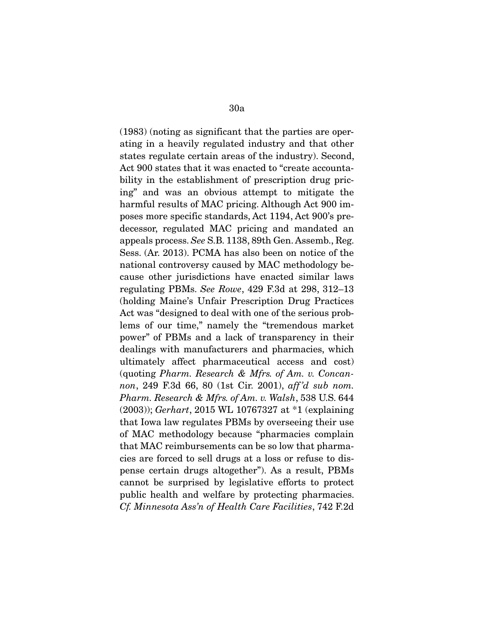(1983) (noting as significant that the parties are operating in a heavily regulated industry and that other states regulate certain areas of the industry). Second, Act 900 states that it was enacted to "create accountability in the establishment of prescription drug pricing" and was an obvious attempt to mitigate the harmful results of MAC pricing. Although Act 900 imposes more specific standards, Act 1194, Act 900's predecessor, regulated MAC pricing and mandated an appeals process. *See* S.B. 1138, 89th Gen. Assemb., Reg. Sess. (Ar. 2013). PCMA has also been on notice of the national controversy caused by MAC methodology because other jurisdictions have enacted similar laws regulating PBMs. *See Rowe*, 429 F.3d at 298, 312–13 (holding Maine's Unfair Prescription Drug Practices Act was "designed to deal with one of the serious problems of our time," namely the "tremendous market power" of PBMs and a lack of transparency in their dealings with manufacturers and pharmacies, which ultimately affect pharmaceutical access and cost) (quoting *Pharm. Research & Mfrs. of Am. v. Concannon*, 249 F.3d 66, 80 (1st Cir. 2001), *aff 'd sub nom. Pharm. Research & Mfrs. of Am. v. Walsh*, 538 U.S. 644 (2003)); *Gerhart*, 2015 WL 10767327 at \*1 (explaining that Iowa law regulates PBMs by overseeing their use of MAC methodology because "pharmacies complain that MAC reimbursements can be so low that pharmacies are forced to sell drugs at a loss or refuse to dispense certain drugs altogether"). As a result, PBMs cannot be surprised by legislative efforts to protect public health and welfare by protecting pharmacies. *Cf. Minnesota Ass'n of Health Care Facilities*, 742 F.2d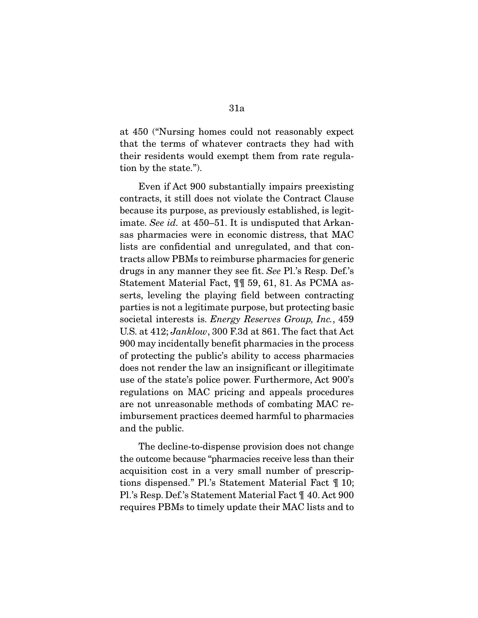at 450 ("Nursing homes could not reasonably expect that the terms of whatever contracts they had with their residents would exempt them from rate regulation by the state.").

 Even if Act 900 substantially impairs preexisting contracts, it still does not violate the Contract Clause because its purpose, as previously established, is legitimate. *See id.* at 450–51. It is undisputed that Arkansas pharmacies were in economic distress, that MAC lists are confidential and unregulated, and that contracts allow PBMs to reimburse pharmacies for generic drugs in any manner they see fit. *See* Pl.'s Resp. Def.'s Statement Material Fact, ¶¶ 59, 61, 81. As PCMA asserts, leveling the playing field between contracting parties is not a legitimate purpose, but protecting basic societal interests is. *Energy Reserves Group, Inc.*, 459 U.S. at 412; *Janklow*, 300 F.3d at 861. The fact that Act 900 may incidentally benefit pharmacies in the process of protecting the public's ability to access pharmacies does not render the law an insignificant or illegitimate use of the state's police power. Furthermore, Act 900's regulations on MAC pricing and appeals procedures are not unreasonable methods of combating MAC reimbursement practices deemed harmful to pharmacies and the public.

 The decline-to-dispense provision does not change the outcome because "pharmacies receive less than their acquisition cost in a very small number of prescriptions dispensed." Pl.'s Statement Material Fact ¶ 10; Pl.'s Resp. Def.'s Statement Material Fact ¶ 40. Act 900 requires PBMs to timely update their MAC lists and to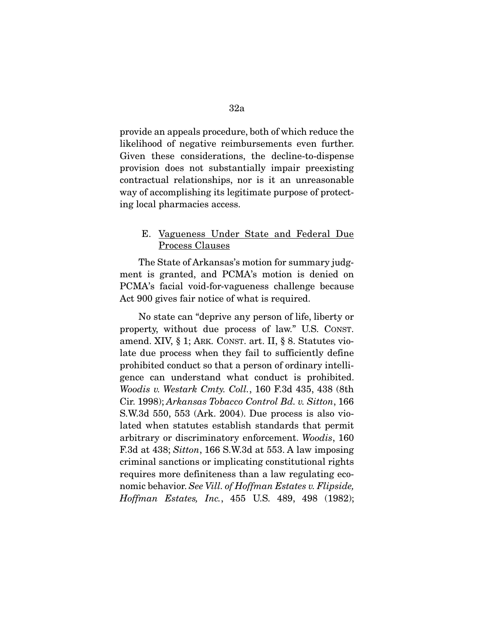provide an appeals procedure, both of which reduce the likelihood of negative reimbursements even further. Given these considerations, the decline-to-dispense provision does not substantially impair preexisting contractual relationships, nor is it an unreasonable way of accomplishing its legitimate purpose of protecting local pharmacies access.

## E. Vagueness Under State and Federal Due Process Clauses

The State of Arkansas's motion for summary judgment is granted, and PCMA's motion is denied on PCMA's facial void-for-vagueness challenge because Act 900 gives fair notice of what is required.

 No state can "deprive any person of life, liberty or property, without due process of law." U.S. CONST. amend. XIV, § 1; ARK. CONST. art. II, § 8. Statutes violate due process when they fail to sufficiently define prohibited conduct so that a person of ordinary intelligence can understand what conduct is prohibited. *Woodis v. Westark Cmty. Coll.*, 160 F.3d 435, 438 (8th Cir. 1998); *Arkansas Tobacco Control Bd. v. Sitton*, 166 S.W.3d 550, 553 (Ark. 2004). Due process is also violated when statutes establish standards that permit arbitrary or discriminatory enforcement. *Woodis*, 160 F.3d at 438; *Sitton*, 166 S.W.3d at 553. A law imposing criminal sanctions or implicating constitutional rights requires more definiteness than a law regulating economic behavior. *See Vill. of Hoffman Estates v. Flipside, Hoffman Estates, Inc.*, 455 U.S. 489, 498 (1982);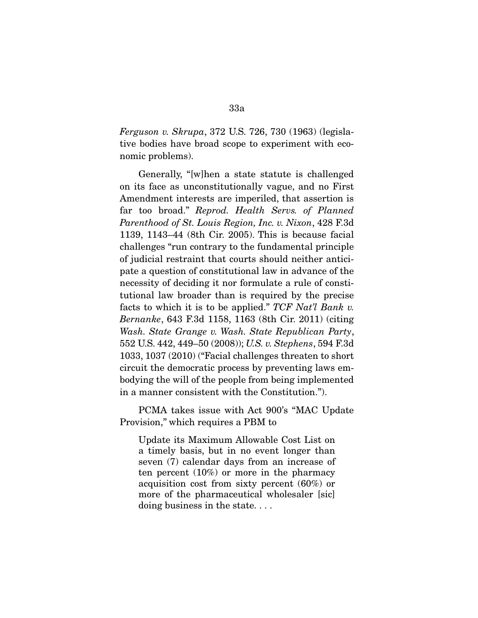*Ferguson v. Skrupa*, 372 U.S. 726, 730 (1963) (legislative bodies have broad scope to experiment with economic problems).

 Generally, "[w]hen a state statute is challenged on its face as unconstitutionally vague, and no First Amendment interests are imperiled, that assertion is far too broad." *Reprod. Health Servs. of Planned Parenthood of St. Louis Region, Inc. v. Nixon*, 428 F.3d 1139, 1143–44 (8th Cir. 2005). This is because facial challenges "run contrary to the fundamental principle of judicial restraint that courts should neither anticipate a question of constitutional law in advance of the necessity of deciding it nor formulate a rule of constitutional law broader than is required by the precise facts to which it is to be applied." *TCF Nat'l Bank v. Bernanke*, 643 F.3d 1158, 1163 (8th Cir. 2011) (citing *Wash. State Grange v. Wash. State Republican Party*, 552 U.S. 442, 449–50 (2008)); *U.S. v. Stephens*, 594 F.3d 1033, 1037 (2010) ("Facial challenges threaten to short circuit the democratic process by preventing laws embodying the will of the people from being implemented in a manner consistent with the Constitution.").

 PCMA takes issue with Act 900's "MAC Update Provision," which requires a PBM to

Update its Maximum Allowable Cost List on a timely basis, but in no event longer than seven (7) calendar days from an increase of ten percent (10%) or more in the pharmacy acquisition cost from sixty percent (60%) or more of the pharmaceutical wholesaler [sic] doing business in the state. . . .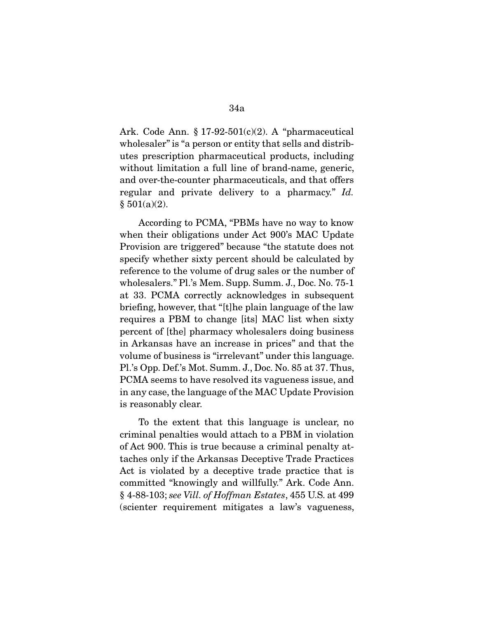Ark. Code Ann.  $\S 17-92-501(c)(2)$ . A "pharmaceutical wholesaler" is "a person or entity that sells and distributes prescription pharmaceutical products, including without limitation a full line of brand-name, generic, and over-the-counter pharmaceuticals, and that offers regular and private delivery to a pharmacy." *Id.*  $§ 501(a)(2).$ 

 According to PCMA, "PBMs have no way to know when their obligations under Act 900's MAC Update Provision are triggered" because "the statute does not specify whether sixty percent should be calculated by reference to the volume of drug sales or the number of wholesalers." Pl.'s Mem. Supp. Summ. J., Doc. No. 75-1 at 33. PCMA correctly acknowledges in subsequent briefing, however, that "[t]he plain language of the law requires a PBM to change [its] MAC list when sixty percent of [the] pharmacy wholesalers doing business in Arkansas have an increase in prices" and that the volume of business is "irrelevant" under this language. Pl.'s Opp. Def.'s Mot. Summ. J., Doc. No. 85 at 37. Thus, PCMA seems to have resolved its vagueness issue, and in any case, the language of the MAC Update Provision is reasonably clear.

 To the extent that this language is unclear, no criminal penalties would attach to a PBM in violation of Act 900. This is true because a criminal penalty attaches only if the Arkansas Deceptive Trade Practices Act is violated by a deceptive trade practice that is committed "knowingly and willfully." Ark. Code Ann. § 4-88-103; *see Vill. of Hoffman Estates*, 455 U.S. at 499 (scienter requirement mitigates a law's vagueness,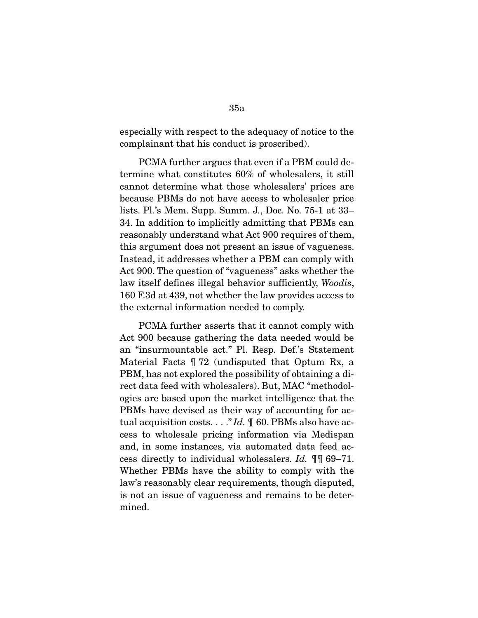especially with respect to the adequacy of notice to the complainant that his conduct is proscribed).

 PCMA further argues that even if a PBM could determine what constitutes 60% of wholesalers, it still cannot determine what those wholesalers' prices are because PBMs do not have access to wholesaler price lists. Pl.'s Mem. Supp. Summ. J., Doc. No. 75-1 at 33– 34. In addition to implicitly admitting that PBMs can reasonably understand what Act 900 requires of them, this argument does not present an issue of vagueness. Instead, it addresses whether a PBM can comply with Act 900. The question of "vagueness" asks whether the law itself defines illegal behavior sufficiently, *Woodis*, 160 F.3d at 439, not whether the law provides access to the external information needed to comply.

 PCMA further asserts that it cannot comply with Act 900 because gathering the data needed would be an "insurmountable act." Pl. Resp. Def.'s Statement Material Facts ¶ 72 (undisputed that Optum Rx, a PBM, has not explored the possibility of obtaining a direct data feed with wholesalers). But, MAC "methodologies are based upon the market intelligence that the PBMs have devised as their way of accounting for actual acquisition costs. . . ." *Id.* ¶ 60. PBMs also have access to wholesale pricing information via Medispan and, in some instances, via automated data feed access directly to individual wholesalers. *Id.* ¶¶ 69–71. Whether PBMs have the ability to comply with the law's reasonably clear requirements, though disputed, is not an issue of vagueness and remains to be determined.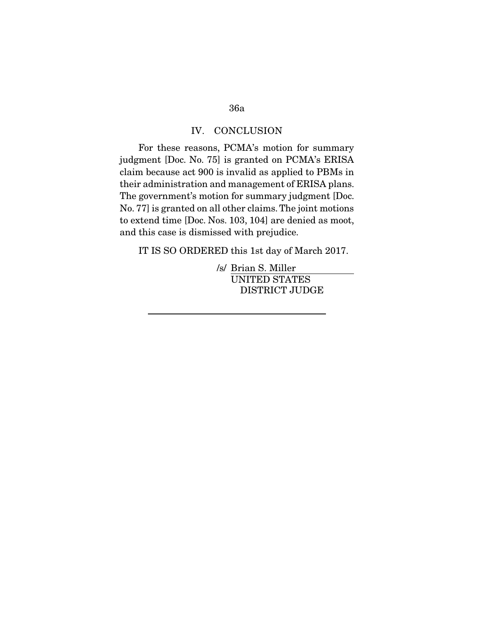# 36a

#### IV. CONCLUSION

For these reasons, PCMA's motion for summary judgment [Doc. No. 75] is granted on PCMA's ERISA claim because act 900 is invalid as applied to PBMs in their administration and management of ERISA plans. The government's motion for summary judgment [Doc. No. 77] is granted on all other claims. The joint motions to extend time [Doc. Nos. 103, 104] are denied as moot, and this case is dismissed with prejudice.

IT IS SO ORDERED this 1st day of March 2017.

/s/ Brian S. Miller UNITED STATES DISTRICT JUDGE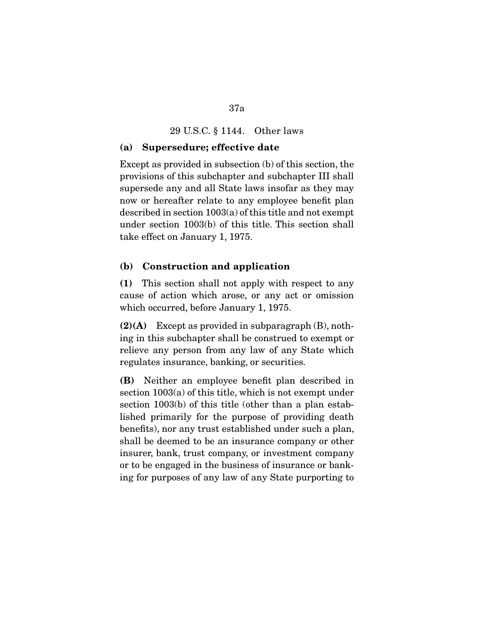#### 29 U.S.C. § 1144. Other laws

#### (a) Supersedure; effective date

Except as provided in subsection (b) of this section, the provisions of this subchapter and subchapter III shall supersede any and all State laws insofar as they may now or hereafter relate to any employee benefit plan described in section 1003(a) of this title and not exempt under section 1003(b) of this title. This section shall take effect on January 1, 1975.

#### (b) Construction and application

(1) This section shall not apply with respect to any cause of action which arose, or any act or omission which occurred, before January 1, 1975.

 $(2)(A)$  Except as provided in subparagraph  $(B)$ , nothing in this subchapter shall be construed to exempt or relieve any person from any law of any State which regulates insurance, banking, or securities.

(B) Neither an employee benefit plan described in section 1003(a) of this title, which is not exempt under section 1003(b) of this title (other than a plan established primarily for the purpose of providing death benefits), nor any trust established under such a plan, shall be deemed to be an insurance company or other insurer, bank, trust company, or investment company or to be engaged in the business of insurance or banking for purposes of any law of any State purporting to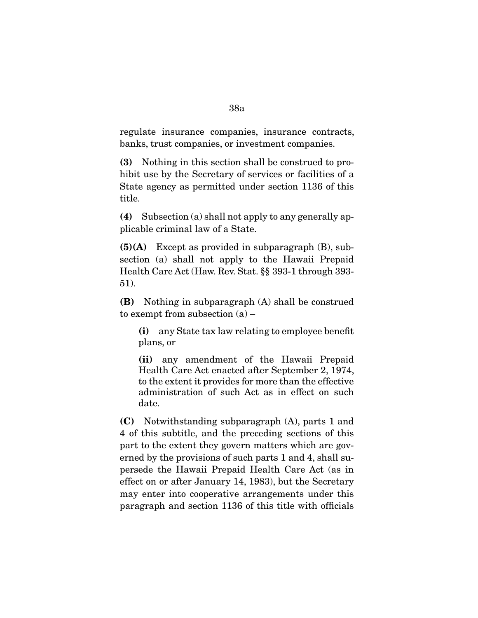## regulate insurance companies, insurance contracts, banks, trust companies, or investment companies.

(3) Nothing in this section shall be construed to prohibit use by the Secretary of services or facilities of a State agency as permitted under section 1136 of this title.

(4) Subsection (a) shall not apply to any generally applicable criminal law of a State.

 $(5)(A)$  Except as provided in subparagraph  $(B)$ , subsection (a) shall not apply to the Hawaii Prepaid Health Care Act (Haw. Rev. Stat. §§ 393-1 through 393- 51).

(B) Nothing in subparagraph (A) shall be construed to exempt from subsection  $(a)$  –

(i) any State tax law relating to employee benefit plans, or

(ii) any amendment of the Hawaii Prepaid Health Care Act enacted after September 2, 1974, to the extent it provides for more than the effective administration of such Act as in effect on such date.

(C) Notwithstanding subparagraph (A), parts 1 and 4 of this subtitle, and the preceding sections of this part to the extent they govern matters which are governed by the provisions of such parts 1 and 4, shall supersede the Hawaii Prepaid Health Care Act (as in effect on or after January 14, 1983), but the Secretary may enter into cooperative arrangements under this paragraph and section 1136 of this title with officials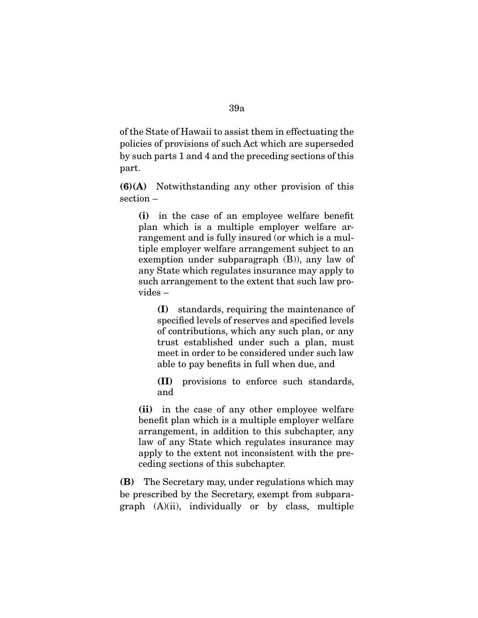of the State of Hawaii to assist them in effectuating the policies of provisions of such Act which are superseded by such parts 1 and 4 and the preceding sections of this part.

(6)(A) Notwithstanding any other provision of this section –

(i) in the case of an employee welfare benefit plan which is a multiple employer welfare arrangement and is fully insured (or which is a multiple employer welfare arrangement subject to an exemption under subparagraph (B)), any law of any State which regulates insurance may apply to such arrangement to the extent that such law provides –

(I) standards, requiring the maintenance of specified levels of reserves and specified levels of contributions, which any such plan, or any trust established under such a plan, must meet in order to be considered under such law able to pay benefits in full when due, and

(II) provisions to enforce such standards, and

(ii) in the case of any other employee welfare benefit plan which is a multiple employer welfare arrangement, in addition to this subchapter, any law of any State which regulates insurance may apply to the extent not inconsistent with the preceding sections of this subchapter.

(B) The Secretary may, under regulations which may be prescribed by the Secretary, exempt from subparagraph (A)(ii), individually or by class, multiple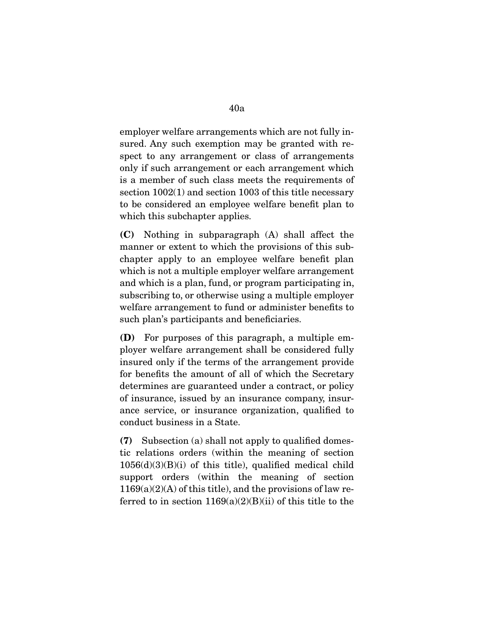employer welfare arrangements which are not fully insured. Any such exemption may be granted with respect to any arrangement or class of arrangements only if such arrangement or each arrangement which is a member of such class meets the requirements of section 1002(1) and section 1003 of this title necessary to be considered an employee welfare benefit plan to which this subchapter applies.

(C) Nothing in subparagraph (A) shall affect the manner or extent to which the provisions of this subchapter apply to an employee welfare benefit plan which is not a multiple employer welfare arrangement and which is a plan, fund, or program participating in, subscribing to, or otherwise using a multiple employer welfare arrangement to fund or administer benefits to such plan's participants and beneficiaries.

(D) For purposes of this paragraph, a multiple employer welfare arrangement shall be considered fully insured only if the terms of the arrangement provide for benefits the amount of all of which the Secretary determines are guaranteed under a contract, or policy of insurance, issued by an insurance company, insurance service, or insurance organization, qualified to conduct business in a State.

(7) Subsection (a) shall not apply to qualified domestic relations orders (within the meaning of section  $1056(d)(3)(B)(i)$  of this title), qualified medical child support orders (within the meaning of section  $1169(a)(2)(A)$  of this title), and the provisions of law referred to in section  $1169(a)(2)(B)(ii)$  of this title to the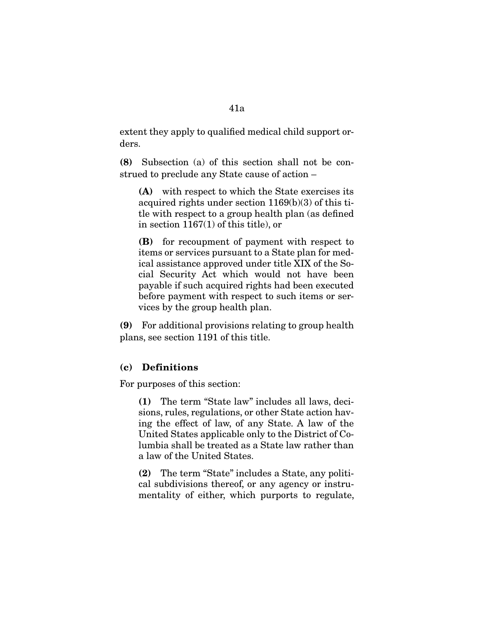extent they apply to qualified medical child support orders.

(8) Subsection (a) of this section shall not be construed to preclude any State cause of action –

(A) with respect to which the State exercises its acquired rights under section 1169(b)(3) of this title with respect to a group health plan (as defined in section 1167(1) of this title), or

(B) for recoupment of payment with respect to items or services pursuant to a State plan for medical assistance approved under title XIX of the Social Security Act which would not have been payable if such acquired rights had been executed before payment with respect to such items or services by the group health plan.

(9) For additional provisions relating to group health plans, see section 1191 of this title.

## (c) Definitions

For purposes of this section:

(1) The term "State law" includes all laws, decisions, rules, regulations, or other State action having the effect of law, of any State. A law of the United States applicable only to the District of Columbia shall be treated as a State law rather than a law of the United States.

(2) The term "State" includes a State, any political subdivisions thereof, or any agency or instrumentality of either, which purports to regulate,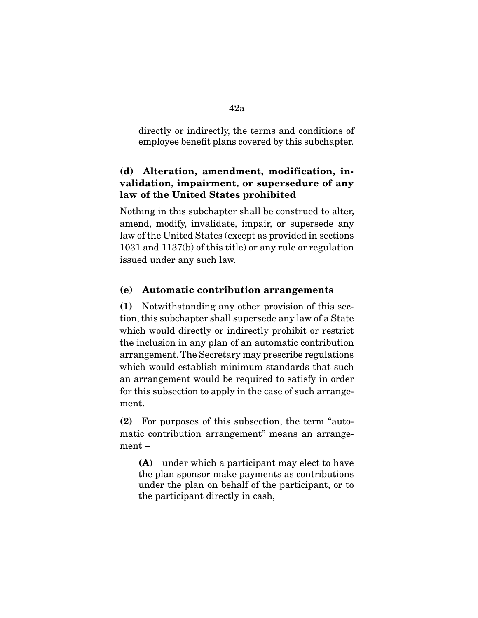directly or indirectly, the terms and conditions of employee benefit plans covered by this subchapter.

# (d) Alteration, amendment, modification, invalidation, impairment, or supersedure of any law of the United States prohibited

Nothing in this subchapter shall be construed to alter, amend, modify, invalidate, impair, or supersede any law of the United States (except as provided in sections 1031 and 1137(b) of this title) or any rule or regulation issued under any such law.

# (e) Automatic contribution arrangements

(1) Notwithstanding any other provision of this section, this subchapter shall supersede any law of a State which would directly or indirectly prohibit or restrict the inclusion in any plan of an automatic contribution arrangement. The Secretary may prescribe regulations which would establish minimum standards that such an arrangement would be required to satisfy in order for this subsection to apply in the case of such arrangement.

(2) For purposes of this subsection, the term "automatic contribution arrangement" means an arrangement –

(A) under which a participant may elect to have the plan sponsor make payments as contributions under the plan on behalf of the participant, or to the participant directly in cash,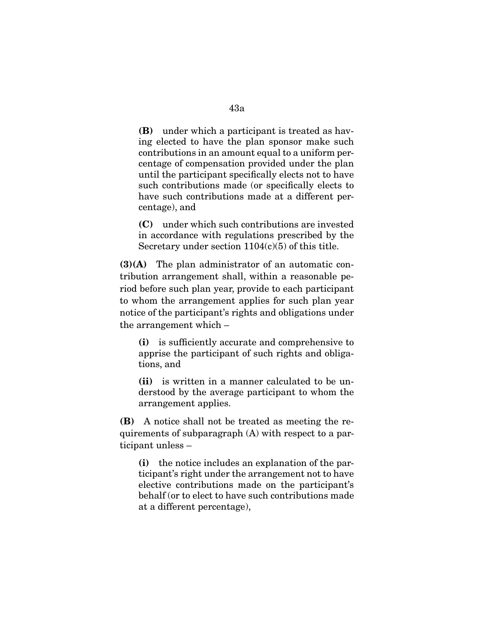(B) under which a participant is treated as having elected to have the plan sponsor make such contributions in an amount equal to a uniform percentage of compensation provided under the plan until the participant specifically elects not to have such contributions made (or specifically elects to have such contributions made at a different percentage), and

(C) under which such contributions are invested in accordance with regulations prescribed by the Secretary under section  $1104(c)(5)$  of this title.

(3)(A) The plan administrator of an automatic contribution arrangement shall, within a reasonable period before such plan year, provide to each participant to whom the arrangement applies for such plan year notice of the participant's rights and obligations under the arrangement which –

(i) is sufficiently accurate and comprehensive to apprise the participant of such rights and obligations, and

(ii) is written in a manner calculated to be understood by the average participant to whom the arrangement applies.

(B) A notice shall not be treated as meeting the requirements of subparagraph (A) with respect to a participant unless –

(i) the notice includes an explanation of the participant's right under the arrangement not to have elective contributions made on the participant's behalf (or to elect to have such contributions made at a different percentage),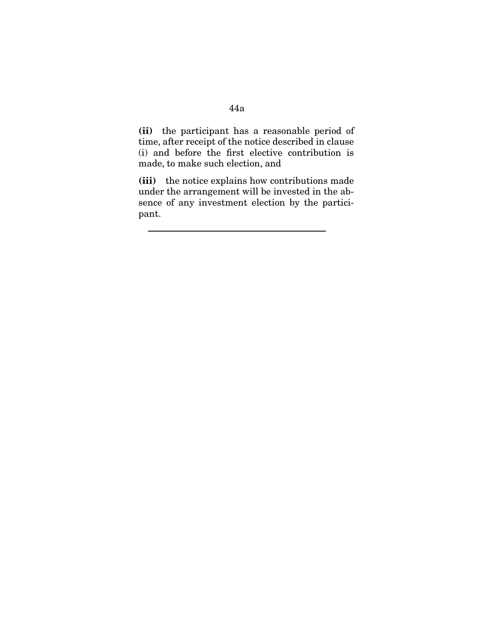# 44a

(ii) the participant has a reasonable period of time, after receipt of the notice described in clause (i) and before the first elective contribution is made, to make such election, and

(iii) the notice explains how contributions made under the arrangement will be invested in the absence of any investment election by the participant.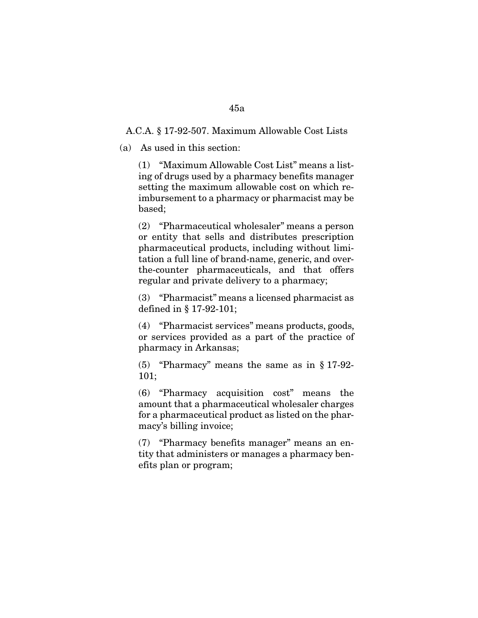## A.C.A. § 17-92-507. Maximum Allowable Cost Lists

(a) As used in this section:

(1) "Maximum Allowable Cost List" means a listing of drugs used by a pharmacy benefits manager setting the maximum allowable cost on which reimbursement to a pharmacy or pharmacist may be based;

(2) "Pharmaceutical wholesaler" means a person or entity that sells and distributes prescription pharmaceutical products, including without limitation a full line of brand-name, generic, and overthe-counter pharmaceuticals, and that offers regular and private delivery to a pharmacy;

(3) "Pharmacist" means a licensed pharmacist as defined in § 17-92-101;

(4) "Pharmacist services" means products, goods, or services provided as a part of the practice of pharmacy in Arkansas;

(5) "Pharmacy" means the same as in § 17-92- 101;

(6) "Pharmacy acquisition cost" means the amount that a pharmaceutical wholesaler charges for a pharmaceutical product as listed on the pharmacy's billing invoice;

(7) "Pharmacy benefits manager" means an entity that administers or manages a pharmacy benefits plan or program;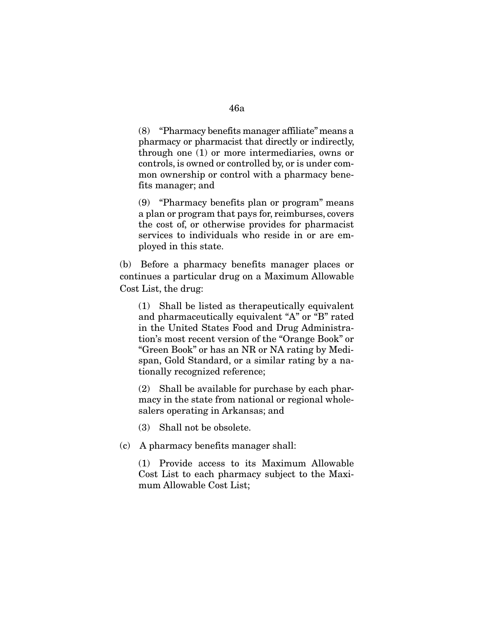(8) "Pharmacy benefits manager affiliate" means a pharmacy or pharmacist that directly or indirectly, through one (1) or more intermediaries, owns or controls, is owned or controlled by, or is under common ownership or control with a pharmacy benefits manager; and

(9) "Pharmacy benefits plan or program" means a plan or program that pays for, reimburses, covers the cost of, or otherwise provides for pharmacist services to individuals who reside in or are employed in this state.

(b) Before a pharmacy benefits manager places or continues a particular drug on a Maximum Allowable Cost List, the drug:

(1) Shall be listed as therapeutically equivalent and pharmaceutically equivalent "A" or "B" rated in the United States Food and Drug Administration's most recent version of the "Orange Book" or "Green Book" or has an NR or NA rating by Medispan, Gold Standard, or a similar rating by a nationally recognized reference;

(2) Shall be available for purchase by each pharmacy in the state from national or regional wholesalers operating in Arkansas; and

(3) Shall not be obsolete.

(c) A pharmacy benefits manager shall:

(1) Provide access to its Maximum Allowable Cost List to each pharmacy subject to the Maximum Allowable Cost List;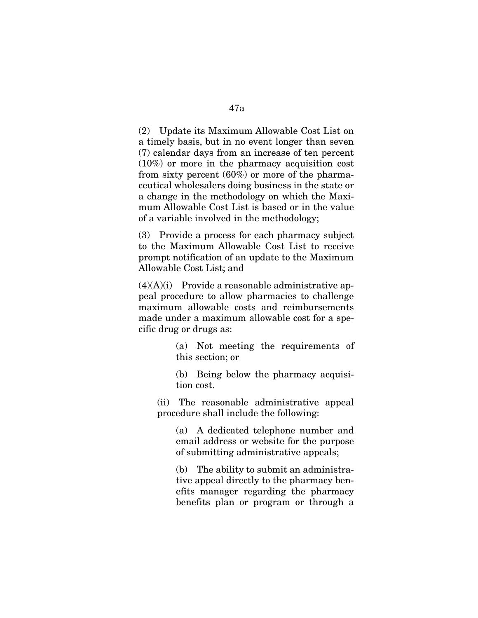(2) Update its Maximum Allowable Cost List on a timely basis, but in no event longer than seven (7) calendar days from an increase of ten percent (10%) or more in the pharmacy acquisition cost from sixty percent (60%) or more of the pharmaceutical wholesalers doing business in the state or a change in the methodology on which the Maximum Allowable Cost List is based or in the value of a variable involved in the methodology;

(3) Provide a process for each pharmacy subject to the Maximum Allowable Cost List to receive prompt notification of an update to the Maximum Allowable Cost List; and

 $(4)(A)(i)$  Provide a reasonable administrative appeal procedure to allow pharmacies to challenge maximum allowable costs and reimbursements made under a maximum allowable cost for a specific drug or drugs as:

> (a) Not meeting the requirements of this section; or

> (b) Being below the pharmacy acquisition cost.

(ii) The reasonable administrative appeal procedure shall include the following:

(a) A dedicated telephone number and email address or website for the purpose of submitting administrative appeals;

(b) The ability to submit an administrative appeal directly to the pharmacy benefits manager regarding the pharmacy benefits plan or program or through a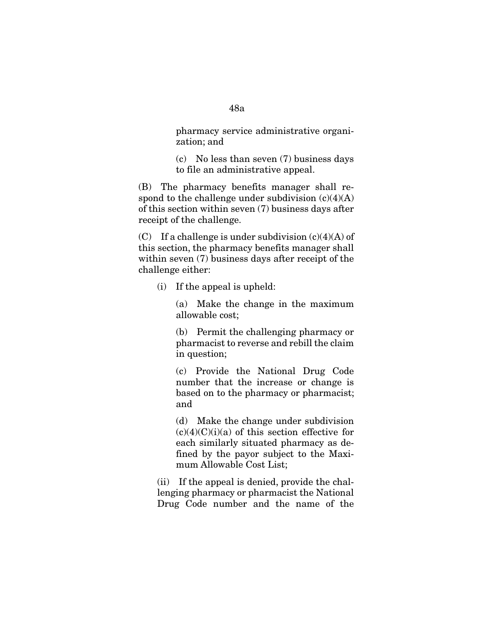pharmacy service administrative organization; and

(c) No less than seven (7) business days to file an administrative appeal.

(B) The pharmacy benefits manager shall respond to the challenge under subdivision  $(c)(4)(A)$ of this section within seven (7) business days after receipt of the challenge.

(C) If a challenge is under subdivision  $(c)(4)(A)$  of this section, the pharmacy benefits manager shall within seven (7) business days after receipt of the challenge either:

(i) If the appeal is upheld:

(a) Make the change in the maximum allowable cost;

(b) Permit the challenging pharmacy or pharmacist to reverse and rebill the claim in question;

(c) Provide the National Drug Code number that the increase or change is based on to the pharmacy or pharmacist; and

(d) Make the change under subdivision  $(c)(4)(C)(i)(a)$  of this section effective for each similarly situated pharmacy as defined by the payor subject to the Maximum Allowable Cost List;

(ii) If the appeal is denied, provide the challenging pharmacy or pharmacist the National Drug Code number and the name of the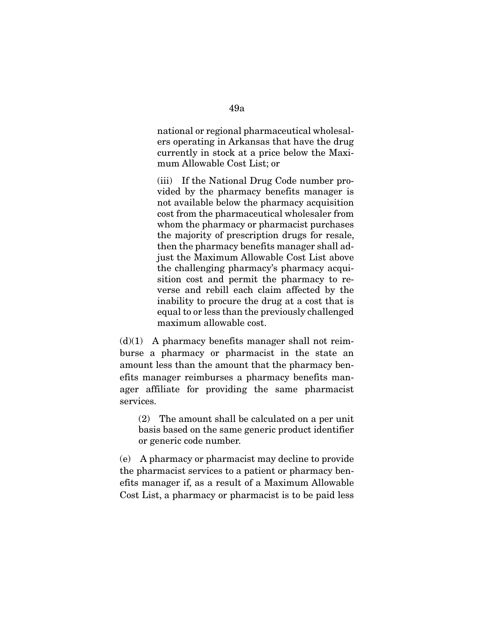national or regional pharmaceutical wholesalers operating in Arkansas that have the drug currently in stock at a price below the Maximum Allowable Cost List; or

(iii) If the National Drug Code number provided by the pharmacy benefits manager is not available below the pharmacy acquisition cost from the pharmaceutical wholesaler from whom the pharmacy or pharmacist purchases the majority of prescription drugs for resale, then the pharmacy benefits manager shall adjust the Maximum Allowable Cost List above the challenging pharmacy's pharmacy acquisition cost and permit the pharmacy to reverse and rebill each claim affected by the inability to procure the drug at a cost that is equal to or less than the previously challenged maximum allowable cost.

 $(d)(1)$  A pharmacy benefits manager shall not reimburse a pharmacy or pharmacist in the state an amount less than the amount that the pharmacy benefits manager reimburses a pharmacy benefits manager affiliate for providing the same pharmacist services.

(2) The amount shall be calculated on a per unit basis based on the same generic product identifier or generic code number.

(e) A pharmacy or pharmacist may decline to provide the pharmacist services to a patient or pharmacy benefits manager if, as a result of a Maximum Allowable Cost List, a pharmacy or pharmacist is to be paid less